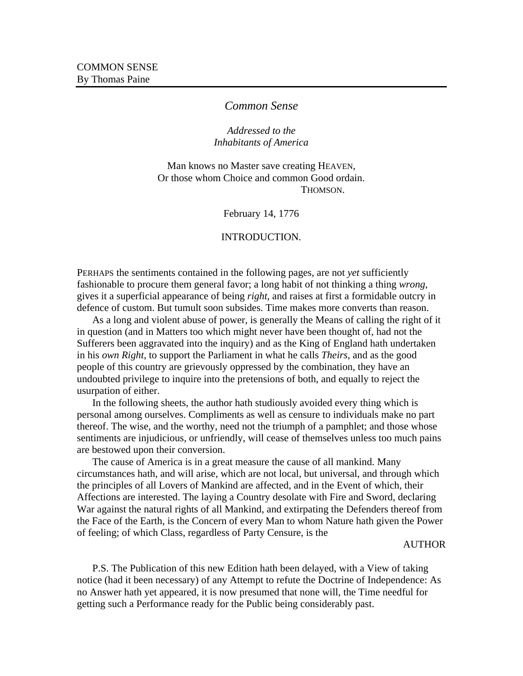# *Common Sense*

# *Addressed to the Inhabitants of America*

Man knows no Master save creating HEAVEN, Or those whom Choice and common Good ordain. THOMSON.

February 14, 1776

### INTRODUCTION.

PERHAPS the sentiments contained in the following pages, are not *yet* sufficiently fashionable to procure them general favor; a long habit of not thinking a thing *wrong*, gives it a superficial appearance of being *right*, and raises at first a formidable outcry in defence of custom. But tumult soon subsides. Time makes more converts than reason.

As a long and violent abuse of power, is generally the Means of calling the right of it in question (and in Matters too which might never have been thought of, had not the Sufferers been aggravated into the inquiry) and as the King of England hath undertaken in his *own Right*, to support the Parliament in what he calls *Theirs*, and as the good people of this country are grievously oppressed by the combination, they have an undoubted privilege to inquire into the pretensions of both, and equally to reject the usurpation of either.

In the following sheets, the author hath studiously avoided every thing which is personal among ourselves. Compliments as well as censure to individuals make no part thereof. The wise, and the worthy, need not the triumph of a pamphlet; and those whose sentiments are injudicious, or unfriendly, will cease of themselves unless too much pains are bestowed upon their conversion.

The cause of America is in a great measure the cause of all mankind. Many circumstances hath, and will arise, which are not local, but universal, and through which the principles of all Lovers of Mankind are affected, and in the Event of which, their Affections are interested. The laying a Country desolate with Fire and Sword, declaring War against the natural rights of all Mankind, and extirpating the Defenders thereof from the Face of the Earth, is the Concern of every Man to whom Nature hath given the Power of feeling; of which Class, regardless of Party Censure, is the

## AUTHOR

P.S. The Publication of this new Edition hath been delayed, with a View of taking notice (had it been necessary) of any Attempt to refute the Doctrine of Independence: As no Answer hath yet appeared, it is now presumed that none will, the Time needful for getting such a Performance ready for the Public being considerably past.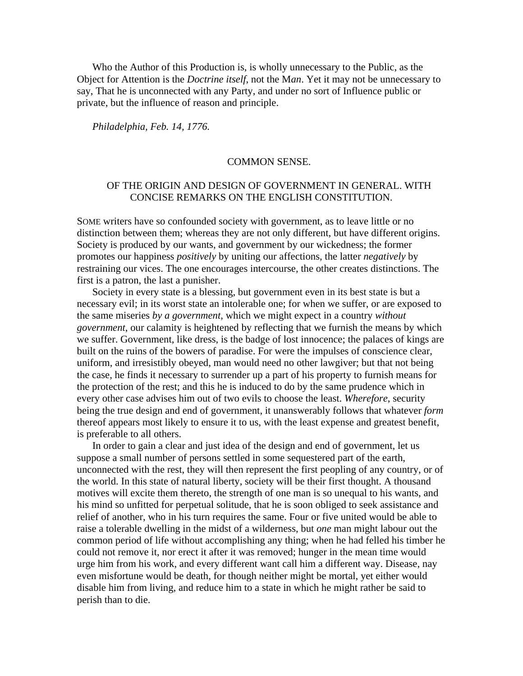Who the Author of this Production is, is wholly unnecessary to the Public, as the Object for Attention is the *Doctrine itself*, not the M*an*. Yet it may not be unnecessary to say, That he is unconnected with any Party, and under no sort of Influence public or private, but the influence of reason and principle.

*Philadelphia, Feb. 14, 1776.*

#### COMMON SENSE.

# OF THE ORIGIN AND DESIGN OF GOVERNMENT IN GENERAL. WITH CONCISE REMARKS ON THE ENGLISH CONSTITUTION.

SOME writers have so confounded society with government, as to leave little or no distinction between them; whereas they are not only different, but have different origins. Society is produced by our wants, and government by our wickedness; the former promotes our happiness *positively* by uniting our affections, the latter *negatively* by restraining our vices. The one encourages intercourse, the other creates distinctions. The first is a patron, the last a punisher.

Society in every state is a blessing, but government even in its best state is but a necessary evil; in its worst state an intolerable one; for when we suffer, or are exposed to the same miseries *by a government*, which we might expect in a country *without government*, our calamity is heightened by reflecting that we furnish the means by which we suffer. Government, like dress, is the badge of lost innocence; the palaces of kings are built on the ruins of the bowers of paradise. For were the impulses of conscience clear, uniform, and irresistibly obeyed, man would need no other lawgiver; but that not being the case, he finds it necessary to surrender up a part of his property to furnish means for the protection of the rest; and this he is induced to do by the same prudence which in every other case advises him out of two evils to choose the least. *Wherefore*, security being the true design and end of government, it unanswerably follows that whatever *form* thereof appears most likely to ensure it to us, with the least expense and greatest benefit, is preferable to all others.

In order to gain a clear and just idea of the design and end of government, let us suppose a small number of persons settled in some sequestered part of the earth, unconnected with the rest, they will then represent the first peopling of any country, or of the world. In this state of natural liberty, society will be their first thought. A thousand motives will excite them thereto, the strength of one man is so unequal to his wants, and his mind so unfitted for perpetual solitude, that he is soon obliged to seek assistance and relief of another, who in his turn requires the same. Four or five united would be able to raise a tolerable dwelling in the midst of a wilderness, but *one* man might labour out the common period of life without accomplishing any thing; when he had felled his timber he could not remove it, nor erect it after it was removed; hunger in the mean time would urge him from his work, and every different want call him a different way. Disease, nay even misfortune would be death, for though neither might be mortal, yet either would disable him from living, and reduce him to a state in which he might rather be said to perish than to die.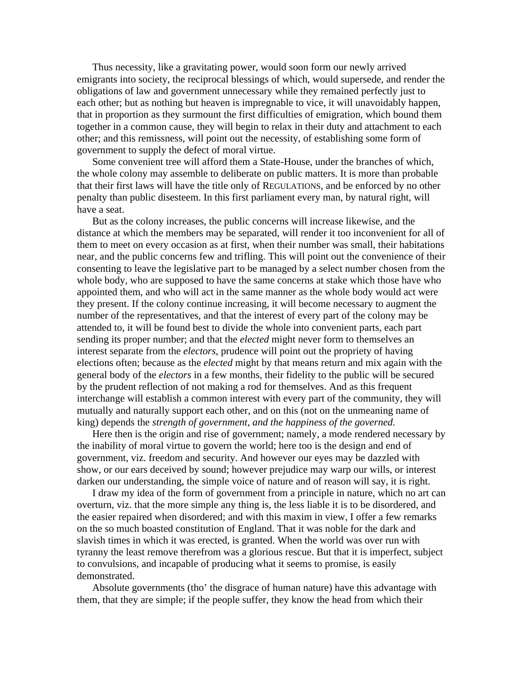Thus necessity, like a gravitating power, would soon form our newly arrived emigrants into society, the reciprocal blessings of which, would supersede, and render the obligations of law and government unnecessary while they remained perfectly just to each other; but as nothing but heaven is impregnable to vice, it will unavoidably happen, that in proportion as they surmount the first difficulties of emigration, which bound them together in a common cause, they will begin to relax in their duty and attachment to each other; and this remissness, will point out the necessity, of establishing some form of government to supply the defect of moral virtue.

Some convenient tree will afford them a State-House, under the branches of which, the whole colony may assemble to deliberate on public matters. It is more than probable that their first laws will have the title only of REGULATIONS, and be enforced by no other penalty than public disesteem. In this first parliament every man, by natural right, will have a seat.

But as the colony increases, the public concerns will increase likewise, and the distance at which the members may be separated, will render it too inconvenient for all of them to meet on every occasion as at first, when their number was small, their habitations near, and the public concerns few and trifling. This will point out the convenience of their consenting to leave the legislative part to be managed by a select number chosen from the whole body, who are supposed to have the same concerns at stake which those have who appointed them, and who will act in the same manner as the whole body would act were they present. If the colony continue increasing, it will become necessary to augment the number of the representatives, and that the interest of every part of the colony may be attended to, it will be found best to divide the whole into convenient parts, each part sending its proper number; and that the *elected* might never form to themselves an interest separate from the *electors*, prudence will point out the propriety of having elections often; because as the *elected* might by that means return and mix again with the general body of the *electors* in a few months, their fidelity to the public will be secured by the prudent reflection of not making a rod for themselves. And as this frequent interchange will establish a common interest with every part of the community, they will mutually and naturally support each other, and on this (not on the unmeaning name of king) depends the *strength of government, and the happiness of the governed*.

Here then is the origin and rise of government; namely, a mode rendered necessary by the inability of moral virtue to govern the world; here too is the design and end of government, viz. freedom and security. And however our eyes may be dazzled with show, or our ears deceived by sound; however prejudice may warp our wills, or interest darken our understanding, the simple voice of nature and of reason will say, it is right.

I draw my idea of the form of government from a principle in nature, which no art can overturn, viz. that the more simple any thing is, the less liable it is to be disordered, and the easier repaired when disordered; and with this maxim in view, I offer a few remarks on the so much boasted constitution of England. That it was noble for the dark and slavish times in which it was erected, is granted. When the world was over run with tyranny the least remove therefrom was a glorious rescue. But that it is imperfect, subject to convulsions, and incapable of producing what it seems to promise, is easily demonstrated.

Absolute governments (tho' the disgrace of human nature) have this advantage with them, that they are simple; if the people suffer, they know the head from which their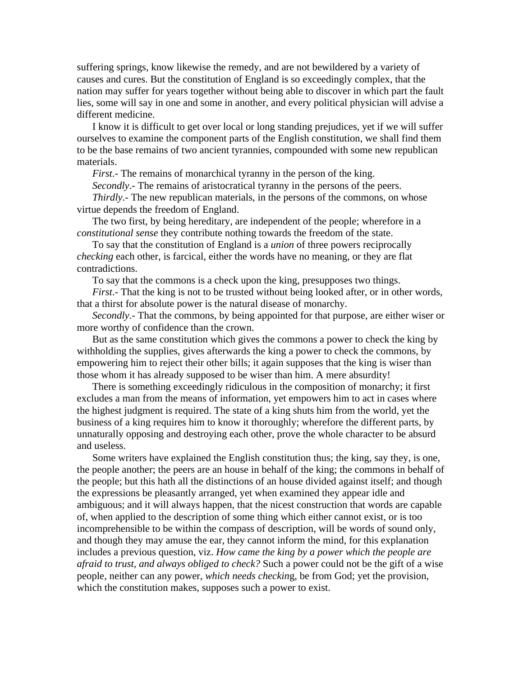suffering springs, know likewise the remedy, and are not bewildered by a variety of causes and cures. But the constitution of England is so exceedingly complex, that the nation may suffer for years together without being able to discover in which part the fault lies, some will say in one and some in another, and every political physician will advise a different medicine.

I know it is difficult to get over local or long standing prejudices, yet if we will suffer ourselves to examine the component parts of the English constitution, we shall find them to be the base remains of two ancient tyrannies, compounded with some new republican materials.

*First*.- The remains of monarchical tyranny in the person of the king.

*Secondly*.- The remains of aristocratical tyranny in the persons of the peers.

*Thirdly*.- The new republican materials, in the persons of the commons, on whose virtue depends the freedom of England.

The two first, by being hereditary, are independent of the people; wherefore in a *constitutional sense* they contribute nothing towards the freedom of the state.

To say that the constitution of England is a *union* of three powers reciprocally *checking* each other, is farcical, either the words have no meaning, or they are flat contradictions.

To say that the commons is a check upon the king, presupposes two things.

*First*.- That the king is not to be trusted without being looked after, or in other words, that a thirst for absolute power is the natural disease of monarchy.

*Secondly*.- That the commons, by being appointed for that purpose, are either wiser or more worthy of confidence than the crown.

But as the same constitution which gives the commons a power to check the king by withholding the supplies, gives afterwards the king a power to check the commons, by empowering him to reject their other bills; it again supposes that the king is wiser than those whom it has already supposed to be wiser than him. A mere absurdity!

There is something exceedingly ridiculous in the composition of monarchy; it first excludes a man from the means of information, yet empowers him to act in cases where the highest judgment is required. The state of a king shuts him from the world, yet the business of a king requires him to know it thoroughly; wherefore the different parts, by unnaturally opposing and destroying each other, prove the whole character to be absurd and useless.

Some writers have explained the English constitution thus; the king, say they, is one, the people another; the peers are an house in behalf of the king; the commons in behalf of the people; but this hath all the distinctions of an house divided against itself; and though the expressions be pleasantly arranged, yet when examined they appear idle and ambiguous; and it will always happen, that the nicest construction that words are capable of, when applied to the description of some thing which either cannot exist, or is too incomprehensible to be within the compass of description, will be words of sound only, and though they may amuse the ear, they cannot inform the mind, for this explanation includes a previous question, viz. *How came the king by a power which the people are afraid to trust, and always obliged to check?* Such a power could not be the gift of a wise people, neither can any power, *which needs checkin*g, be from God; yet the provision, which the constitution makes, supposes such a power to exist.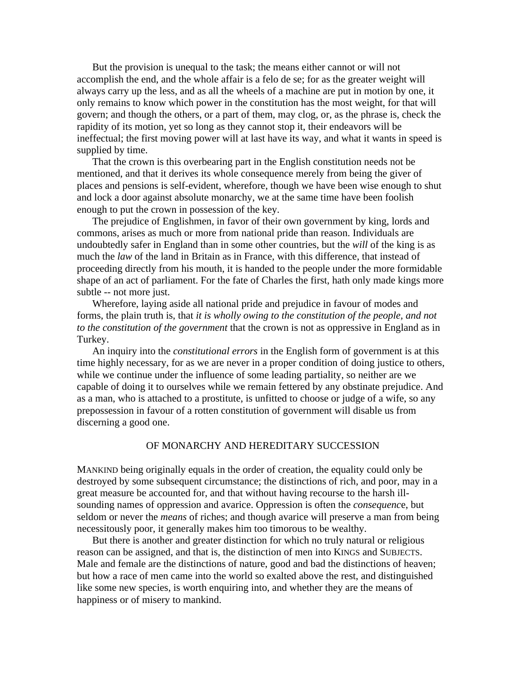But the provision is unequal to the task; the means either cannot or will not accomplish the end, and the whole affair is a felo de se; for as the greater weight will always carry up the less, and as all the wheels of a machine are put in motion by one, it only remains to know which power in the constitution has the most weight, for that will govern; and though the others, or a part of them, may clog, or, as the phrase is, check the rapidity of its motion, yet so long as they cannot stop it, their endeavors will be ineffectual; the first moving power will at last have its way, and what it wants in speed is supplied by time.

That the crown is this overbearing part in the English constitution needs not be mentioned, and that it derives its whole consequence merely from being the giver of places and pensions is self-evident, wherefore, though we have been wise enough to shut and lock a door against absolute monarchy, we at the same time have been foolish enough to put the crown in possession of the key.

The prejudice of Englishmen, in favor of their own government by king, lords and commons, arises as much or more from national pride than reason. Individuals are undoubtedly safer in England than in some other countries, but the *will* of the king is as much the *law* of the land in Britain as in France, with this difference, that instead of proceeding directly from his mouth, it is handed to the people under the more formidable shape of an act of parliament. For the fate of Charles the first, hath only made kings more subtle -- not more just.

Wherefore, laying aside all national pride and prejudice in favour of modes and forms, the plain truth is, that *it is wholly owing to the constitution of the people, and not to the constitution of the government* that the crown is not as oppressive in England as in Turkey.

An inquiry into the *constitutional errors* in the English form of government is at this time highly necessary, for as we are never in a proper condition of doing justice to others, while we continue under the influence of some leading partiality, so neither are we capable of doing it to ourselves while we remain fettered by any obstinate prejudice. And as a man, who is attached to a prostitute, is unfitted to choose or judge of a wife, so any prepossession in favour of a rotten constitution of government will disable us from discerning a good one.

### OF MONARCHY AND HEREDITARY SUCCESSION

MANKIND being originally equals in the order of creation, the equality could only be destroyed by some subsequent circumstance; the distinctions of rich, and poor, may in a great measure be accounted for, and that without having recourse to the harsh illsounding names of oppression and avarice. Oppression is often the *consequenc*e, but seldom or never the *means* of riches; and though avarice will preserve a man from being necessitously poor, it generally makes him too timorous to be wealthy.

But there is another and greater distinction for which no truly natural or religious reason can be assigned, and that is, the distinction of men into KINGS and SUBJECTS. Male and female are the distinctions of nature, good and bad the distinctions of heaven; but how a race of men came into the world so exalted above the rest, and distinguished like some new species, is worth enquiring into, and whether they are the means of happiness or of misery to mankind.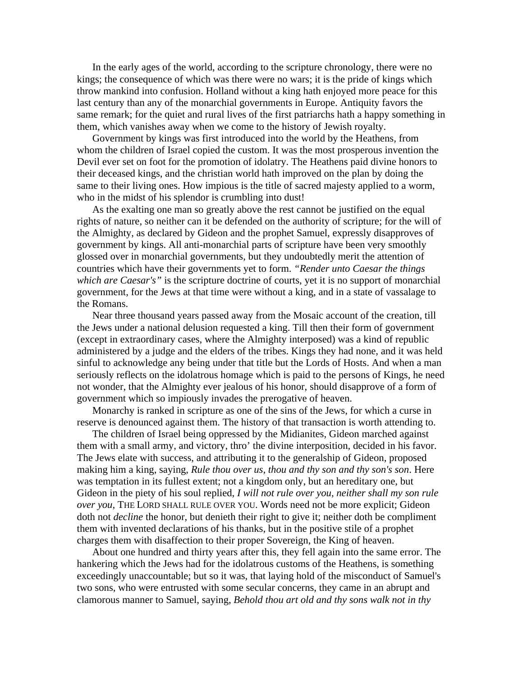In the early ages of the world, according to the scripture chronology, there were no kings; the consequence of which was there were no wars; it is the pride of kings which throw mankind into confusion. Holland without a king hath enjoyed more peace for this last century than any of the monarchial governments in Europe. Antiquity favors the same remark; for the quiet and rural lives of the first patriarchs hath a happy something in them, which vanishes away when we come to the history of Jewish royalty.

Government by kings was first introduced into the world by the Heathens, from whom the children of Israel copied the custom. It was the most prosperous invention the Devil ever set on foot for the promotion of idolatry. The Heathens paid divine honors to their deceased kings, and the christian world hath improved on the plan by doing the same to their living ones. How impious is the title of sacred majesty applied to a worm, who in the midst of his splendor is crumbling into dust!

As the exalting one man so greatly above the rest cannot be justified on the equal rights of nature, so neither can it be defended on the authority of scripture; for the will of the Almighty, as declared by Gideon and the prophet Samuel, expressly disapproves of government by kings. All anti-monarchial parts of scripture have been very smoothly glossed over in monarchial governments, but they undoubtedly merit the attention of countries which have their governments yet to form. *"Render unto Caesar the things which are Caesar's"* is the scripture doctrine of courts, yet it is no support of monarchial government, for the Jews at that time were without a king, and in a state of vassalage to the Romans.

Near three thousand years passed away from the Mosaic account of the creation, till the Jews under a national delusion requested a king. Till then their form of government (except in extraordinary cases, where the Almighty interposed) was a kind of republic administered by a judge and the elders of the tribes. Kings they had none, and it was held sinful to acknowledge any being under that title but the Lords of Hosts. And when a man seriously reflects on the idolatrous homage which is paid to the persons of Kings, he need not wonder, that the Almighty ever jealous of his honor, should disapprove of a form of government which so impiously invades the prerogative of heaven.

Monarchy is ranked in scripture as one of the sins of the Jews, for which a curse in reserve is denounced against them. The history of that transaction is worth attending to.

The children of Israel being oppressed by the Midianites, Gideon marched against them with a small army, and victory, thro' the divine interposition, decided in his favor. The Jews elate with success, and attributing it to the generalship of Gideon, proposed making him a king, saying, *Rule thou over us, thou and thy son and thy son's son*. Here was temptation in its fullest extent; not a kingdom only, but an hereditary one, but Gideon in the piety of his soul replied, *I will not rule over you, neither shall my son rule over you*, THE LORD SHALL RULE OVER YOU. Words need not be more explicit; Gideon doth not *decline* the honor, but denieth their right to give it; neither doth be compliment them with invented declarations of his thanks, but in the positive stile of a prophet charges them with disaffection to their proper Sovereign, the King of heaven.

About one hundred and thirty years after this, they fell again into the same error. The hankering which the Jews had for the idolatrous customs of the Heathens, is something exceedingly unaccountable; but so it was, that laying hold of the misconduct of Samuel's two sons, who were entrusted with some secular concerns, they came in an abrupt and clamorous manner to Samuel, saying, *Behold thou art old and thy sons walk not in thy*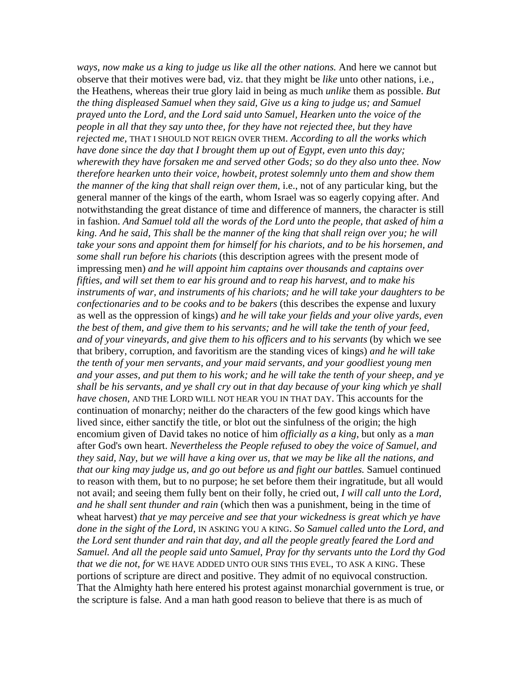*ways, now make us a king to judge us like all the other nations.* And here we cannot but observe that their motives were bad, viz. that they might be *like* unto other nations, i.e., the Heathens, whereas their true glory laid in being as much *unlike* them as possible. *But the thing displeased Samuel when they said, Give us a king to judge us; and Samuel prayed unto the Lord, and the Lord said unto Samuel, Hearken unto the voice of the people in all that they say unto thee, for they have not rejected thee, but they have rejected me,* THAT I SHOULD NOT REIGN OVER THEM. *According to all the works which have done since the day that I brought them up out of Egypt, even unto this day; wherewith they have forsaken me and served other Gods; so do they also unto thee. Now therefore hearken unto their voice, howbeit, protest solemnly unto them and show them the manner of the king that shall reign over them*, i.e., not of any particular king, but the general manner of the kings of the earth, whom Israel was so eagerly copying after. And notwithstanding the great distance of time and difference of manners, the character is still in fashion. *And Samuel told all the words of the Lord unto the people, that asked of him a king. And he said, This shall be the manner of the king that shall reign over you; he will take your sons and appoint them for himself for his chariots, and to be his horsemen, and some shall run before his chariots* (this description agrees with the present mode of impressing men) *and he will appoint him captains over thousands and captains over fifties, and will set them to ear his ground and to reap his harvest, and to make his instruments of war, and instruments of his chariots; and he will take your daughters to be confectionaries and to be cooks and to be bakers* (this describes the expense and luxury as well as the oppression of kings) *and he will take your fields and your olive yards, even the best of them, and give them to his servants; and he will take the tenth of your feed, and of your vineyards, and give them to his officers and to his servants* (by which we see that bribery, corruption, and favoritism are the standing vices of kings) *and he will take the tenth of your men servants, and your maid servants, and your goodliest young men and your asses, and put them to his work; and he will take the tenth of your sheep, and ye shall be his servants, and ye shall cry out in that day because of your king which ye shall have chosen,* AND THE LORD WILL NOT HEAR YOU IN THAT DAY. This accounts for the continuation of monarchy; neither do the characters of the few good kings which have lived since, either sanctify the title, or blot out the sinfulness of the origin; the high encomium given of David takes no notice of him *officially as a king*, but only as a *man* after God's own heart. *Nevertheless the People refused to obey the voice of Samuel, and they said, Nay, but we will have a king over us, that we may be like all the nations, and that our king may judge us, and go out before us and fight our battles.* Samuel continued to reason with them, but to no purpose; he set before them their ingratitude, but all would not avail; and seeing them fully bent on their folly, he cried out, *I will call unto the Lord, and he shall sent thunder and rain* (which then was a punishment, being in the time of wheat harvest) *that ye may perceive and see that your wickedness is great which ye have done in the sight of the Lord,* IN ASKING YOU A KING. *So Samuel called unto the Lord, and the Lord sent thunder and rain that day, and all the people greatly feared the Lord and Samuel. And all the people said unto Samuel, Pray for thy servants unto the Lord thy God that we die not, for* WE HAVE ADDED UNTO OUR SINS THIS EVEL, TO ASK A KING. These portions of scripture are direct and positive. They admit of no equivocal construction. That the Almighty hath here entered his protest against monarchial government is true, or the scripture is false. And a man hath good reason to believe that there is as much of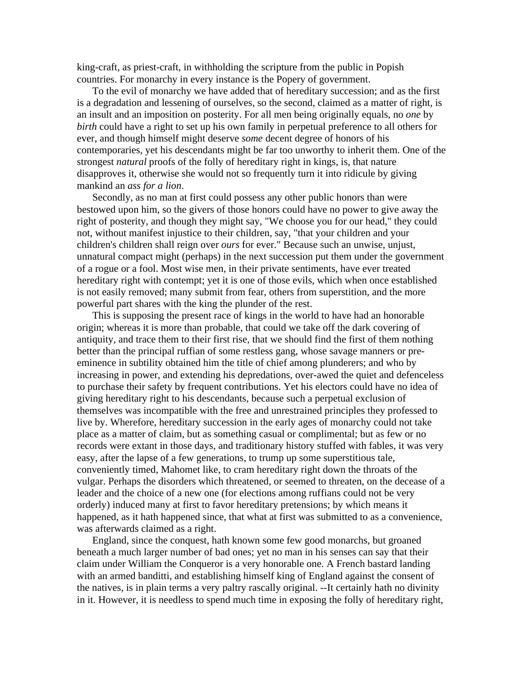king-craft, as priest-craft, in withholding the scripture from the public in Popish countries. For monarchy in every instance is the Popery of government.

To the evil of monarchy we have added that of hereditary succession; and as the first is a degradation and lessening of ourselves, so the second, claimed as a matter of right, is an insult and an imposition on posterity. For all men being originally equals, no *one* by *birth* could have a right to set up his own family in perpetual preference to all others for ever, and though himself might deserve *some* decent degree of honors of his contemporaries, yet his descendants might be far too unworthy to inherit them. One of the strongest *natural* proofs of the folly of hereditary right in kings, is, that nature disapproves it, otherwise she would not so frequently turn it into ridicule by giving mankind an *ass for a lion*.

Secondly, as no man at first could possess any other public honors than were bestowed upon him, so the givers of those honors could have no power to give away the right of posterity, and though they might say, "We choose you for our head," they could not, without manifest injustice to their children, say, "that your children and your children's children shall reign over *ours* for ever." Because such an unwise, unjust, unnatural compact might (perhaps) in the next succession put them under the government of a rogue or a fool. Most wise men, in their private sentiments, have ever treated hereditary right with contempt; yet it is one of those evils, which when once established is not easily removed; many submit from fear, others from superstition, and the more powerful part shares with the king the plunder of the rest.

This is supposing the present race of kings in the world to have had an honorable origin; whereas it is more than probable, that could we take off the dark covering of antiquity, and trace them to their first rise, that we should find the first of them nothing better than the principal ruffian of some restless gang, whose savage manners or preeminence in subtility obtained him the title of chief among plunderers; and who by increasing in power, and extending his depredations, over-awed the quiet and defenceless to purchase their safety by frequent contributions. Yet his electors could have no idea of giving hereditary right to his descendants, because such a perpetual exclusion of themselves was incompatible with the free and unrestrained principles they professed to live by. Wherefore, hereditary succession in the early ages of monarchy could not take place as a matter of claim, but as something casual or complimental; but as few or no records were extant in those days, and traditionary history stuffed with fables, it was very easy, after the lapse of a few generations, to trump up some superstitious tale, conveniently timed, Mahomet like, to cram hereditary right down the throats of the vulgar. Perhaps the disorders which threatened, or seemed to threaten, on the decease of a leader and the choice of a new one (for elections among ruffians could not be very orderly) induced many at first to favor hereditary pretensions; by which means it happened, as it hath happened since, that what at first was submitted to as a convenience, was afterwards claimed as a right.

England, since the conquest, hath known some few good monarchs, but groaned beneath a much larger number of bad ones; yet no man in his senses can say that their claim under William the Conqueror is a very honorable one. A French bastard landing with an armed banditti, and establishing himself king of England against the consent of the natives, is in plain terms a very paltry rascally original. --It certainly hath no divinity in it. However, it is needless to spend much time in exposing the folly of hereditary right,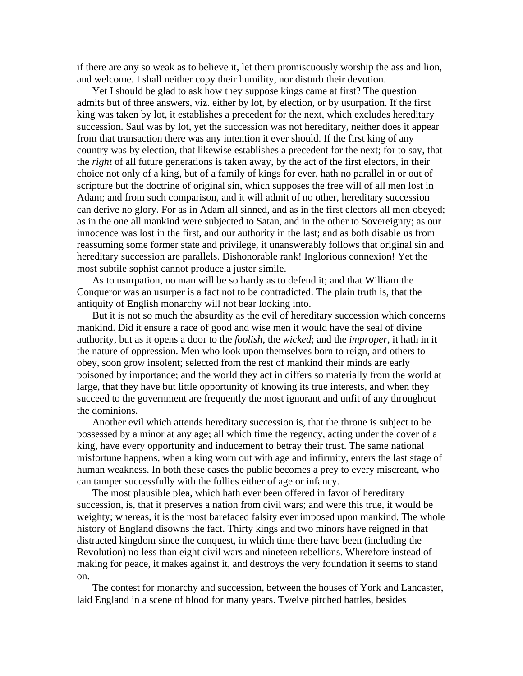if there are any so weak as to believe it, let them promiscuously worship the ass and lion, and welcome. I shall neither copy their humility, nor disturb their devotion.

Yet I should be glad to ask how they suppose kings came at first? The question admits but of three answers, viz. either by lot, by election, or by usurpation. If the first king was taken by lot, it establishes a precedent for the next, which excludes hereditary succession. Saul was by lot, yet the succession was not hereditary, neither does it appear from that transaction there was any intention it ever should. If the first king of any country was by election, that likewise establishes a precedent for the next; for to say, that the *right* of all future generations is taken away, by the act of the first electors, in their choice not only of a king, but of a family of kings for ever, hath no parallel in or out of scripture but the doctrine of original sin, which supposes the free will of all men lost in Adam; and from such comparison, and it will admit of no other, hereditary succession can derive no glory. For as in Adam all sinned, and as in the first electors all men obeyed; as in the one all mankind were subjected to Satan, and in the other to Sovereignty; as our innocence was lost in the first, and our authority in the last; and as both disable us from reassuming some former state and privilege, it unanswerably follows that original sin and hereditary succession are parallels. Dishonorable rank! Inglorious connexion! Yet the most subtile sophist cannot produce a juster simile.

As to usurpation, no man will be so hardy as to defend it; and that William the Conqueror was an usurper is a fact not to be contradicted. The plain truth is, that the antiquity of English monarchy will not bear looking into.

But it is not so much the absurdity as the evil of hereditary succession which concerns mankind. Did it ensure a race of good and wise men it would have the seal of divine authority, but as it opens a door to the *foolish*, the *wicked*; and the *improper*, it hath in it the nature of oppression. Men who look upon themselves born to reign, and others to obey, soon grow insolent; selected from the rest of mankind their minds are early poisoned by importance; and the world they act in differs so materially from the world at large, that they have but little opportunity of knowing its true interests, and when they succeed to the government are frequently the most ignorant and unfit of any throughout the dominions.

Another evil which attends hereditary succession is, that the throne is subject to be possessed by a minor at any age; all which time the regency, acting under the cover of a king, have every opportunity and inducement to betray their trust. The same national misfortune happens, when a king worn out with age and infirmity, enters the last stage of human weakness. In both these cases the public becomes a prey to every miscreant, who can tamper successfully with the follies either of age or infancy.

The most plausible plea, which hath ever been offered in favor of hereditary succession, is, that it preserves a nation from civil wars; and were this true, it would be weighty; whereas, it is the most barefaced falsity ever imposed upon mankind. The whole history of England disowns the fact. Thirty kings and two minors have reigned in that distracted kingdom since the conquest, in which time there have been (including the Revolution) no less than eight civil wars and nineteen rebellions. Wherefore instead of making for peace, it makes against it, and destroys the very foundation it seems to stand on.

The contest for monarchy and succession, between the houses of York and Lancaster, laid England in a scene of blood for many years. Twelve pitched battles, besides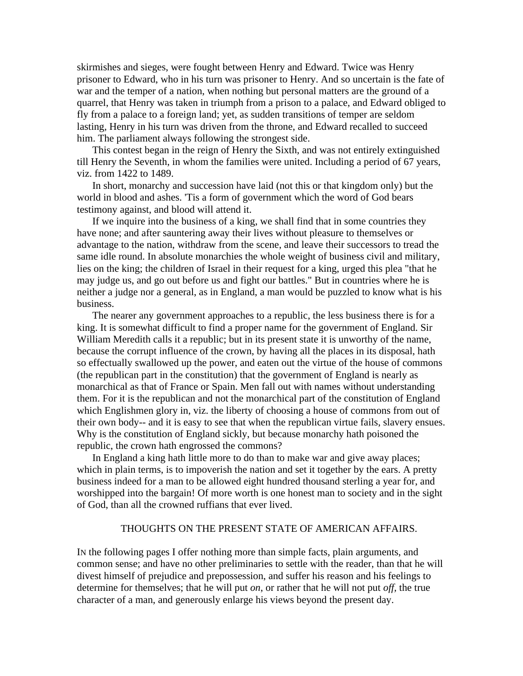skirmishes and sieges, were fought between Henry and Edward. Twice was Henry prisoner to Edward, who in his turn was prisoner to Henry. And so uncertain is the fate of war and the temper of a nation, when nothing but personal matters are the ground of a quarrel, that Henry was taken in triumph from a prison to a palace, and Edward obliged to fly from a palace to a foreign land; yet, as sudden transitions of temper are seldom lasting, Henry in his turn was driven from the throne, and Edward recalled to succeed him. The parliament always following the strongest side.

This contest began in the reign of Henry the Sixth, and was not entirely extinguished till Henry the Seventh, in whom the families were united. Including a period of 67 years, viz. from 1422 to 1489.

In short, monarchy and succession have laid (not this or that kingdom only) but the world in blood and ashes. 'Tis a form of government which the word of God bears testimony against, and blood will attend it.

If we inquire into the business of a king, we shall find that in some countries they have none; and after sauntering away their lives without pleasure to themselves or advantage to the nation, withdraw from the scene, and leave their successors to tread the same idle round. In absolute monarchies the whole weight of business civil and military, lies on the king; the children of Israel in their request for a king, urged this plea "that he may judge us, and go out before us and fight our battles." But in countries where he is neither a judge nor a general, as in England, a man would be puzzled to know what is his business.

The nearer any government approaches to a republic, the less business there is for a king. It is somewhat difficult to find a proper name for the government of England. Sir William Meredith calls it a republic; but in its present state it is unworthy of the name, because the corrupt influence of the crown, by having all the places in its disposal, hath so effectually swallowed up the power, and eaten out the virtue of the house of commons (the republican part in the constitution) that the government of England is nearly as monarchical as that of France or Spain. Men fall out with names without understanding them. For it is the republican and not the monarchical part of the constitution of England which Englishmen glory in, viz. the liberty of choosing a house of commons from out of their own body-- and it is easy to see that when the republican virtue fails, slavery ensues. Why is the constitution of England sickly, but because monarchy hath poisoned the republic, the crown hath engrossed the commons?

In England a king hath little more to do than to make war and give away places; which in plain terms, is to impoverish the nation and set it together by the ears. A pretty business indeed for a man to be allowed eight hundred thousand sterling a year for, and worshipped into the bargain! Of more worth is one honest man to society and in the sight of God, than all the crowned ruffians that ever lived.

#### THOUGHTS ON THE PRESENT STATE OF AMERICAN AFFAIRS.

IN the following pages I offer nothing more than simple facts, plain arguments, and common sense; and have no other preliminaries to settle with the reader, than that he will divest himself of prejudice and prepossession, and suffer his reason and his feelings to determine for themselves; that he will put *on*, or rather that he will not put *off,* the true character of a man, and generously enlarge his views beyond the present day.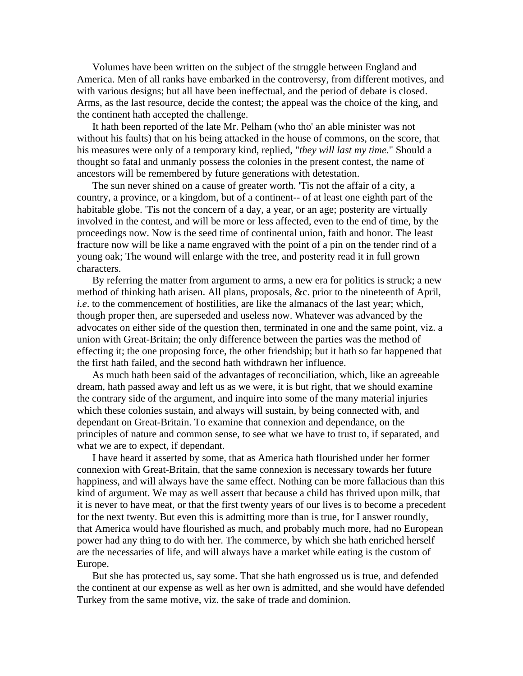Volumes have been written on the subject of the struggle between England and America. Men of all ranks have embarked in the controversy, from different motives, and with various designs; but all have been ineffectual, and the period of debate is closed. Arms, as the last resource, decide the contest; the appeal was the choice of the king, and the continent hath accepted the challenge.

It hath been reported of the late Mr. Pelham (who tho' an able minister was not without his faults) that on his being attacked in the house of commons, on the score, that his measures were only of a temporary kind, replied, "*they will last my time*." Should a thought so fatal and unmanly possess the colonies in the present contest, the name of ancestors will be remembered by future generations with detestation.

The sun never shined on a cause of greater worth. 'Tis not the affair of a city, a country, a province, or a kingdom, but of a continent-- of at least one eighth part of the habitable globe. 'Tis not the concern of a day, a year, or an age; posterity are virtually involved in the contest, and will be more or less affected, even to the end of time, by the proceedings now. Now is the seed time of continental union, faith and honor. The least fracture now will be like a name engraved with the point of a pin on the tender rind of a young oak; The wound will enlarge with the tree, and posterity read it in full grown characters.

By referring the matter from argument to arms, a new era for politics is struck; a new method of thinking hath arisen. All plans, proposals, &c. prior to the nineteenth of April, *i.e.* to the commencement of hostilities, are like the almanacs of the last year; which, though proper then, are superseded and useless now. Whatever was advanced by the advocates on either side of the question then, terminated in one and the same point, viz. a union with Great-Britain; the only difference between the parties was the method of effecting it; the one proposing force, the other friendship; but it hath so far happened that the first hath failed, and the second hath withdrawn her influence.

As much hath been said of the advantages of reconciliation, which, like an agreeable dream, hath passed away and left us as we were, it is but right, that we should examine the contrary side of the argument, and inquire into some of the many material injuries which these colonies sustain, and always will sustain, by being connected with, and dependant on Great-Britain. To examine that connexion and dependance, on the principles of nature and common sense, to see what we have to trust to, if separated, and what we are to expect, if dependant.

I have heard it asserted by some, that as America hath flourished under her former connexion with Great-Britain, that the same connexion is necessary towards her future happiness, and will always have the same effect. Nothing can be more fallacious than this kind of argument. We may as well assert that because a child has thrived upon milk, that it is never to have meat, or that the first twenty years of our lives is to become a precedent for the next twenty. But even this is admitting more than is true, for I answer roundly, that America would have flourished as much, and probably much more, had no European power had any thing to do with her. The commerce, by which she hath enriched herself are the necessaries of life, and will always have a market while eating is the custom of Europe.

But she has protected us, say some. That she hath engrossed us is true, and defended the continent at our expense as well as her own is admitted, and she would have defended Turkey from the same motive, viz. the sake of trade and dominion.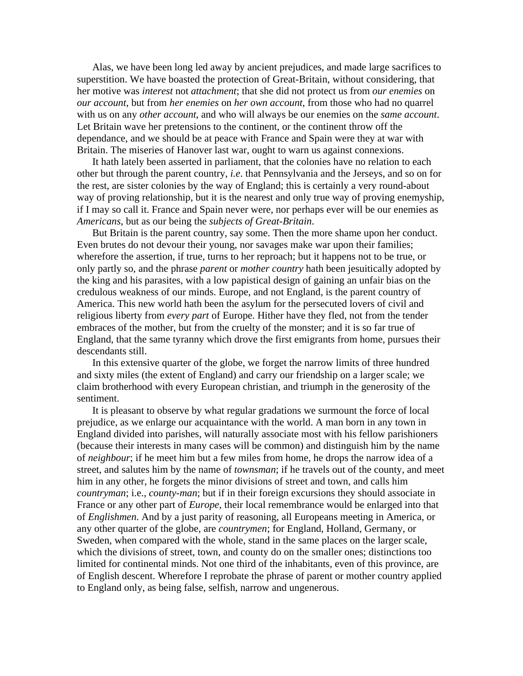Alas, we have been long led away by ancient prejudices, and made large sacrifices to superstition. We have boasted the protection of Great-Britain, without considering, that her motive was *interest* not *attachment*; that she did not protect us from *our enemies* on *our account*, but from *her enemies* on *her own account*, from those who had no quarrel with us on any *other account*, and who will always be our enemies on the *same account*. Let Britain wave her pretensions to the continent, or the continent throw off the dependance, and we should be at peace with France and Spain were they at war with Britain. The miseries of Hanover last war, ought to warn us against connexions.

It hath lately been asserted in parliament, that the colonies have no relation to each other but through the parent country, *i.e*. that Pennsylvania and the Jerseys, and so on for the rest, are sister colonies by the way of England; this is certainly a very round-about way of proving relationship, but it is the nearest and only true way of proving enemyship, if I may so call it. France and Spain never were, nor perhaps ever will be our enemies as *Americans*, but as our being the *subjects of Great-Britain*.

But Britain is the parent country, say some. Then the more shame upon her conduct. Even brutes do not devour their young, nor savages make war upon their families; wherefore the assertion, if true, turns to her reproach; but it happens not to be true, or only partly so, and the phrase *parent* or *mother country* hath been jesuitically adopted by the king and his parasites, with a low papistical design of gaining an unfair bias on the credulous weakness of our minds. Europe, and not England, is the parent country of America. This new world hath been the asylum for the persecuted lovers of civil and religious liberty from *every part* of Europe. Hither have they fled, not from the tender embraces of the mother, but from the cruelty of the monster; and it is so far true of England, that the same tyranny which drove the first emigrants from home, pursues their descendants still.

In this extensive quarter of the globe, we forget the narrow limits of three hundred and sixty miles (the extent of England) and carry our friendship on a larger scale; we claim brotherhood with every European christian, and triumph in the generosity of the sentiment.

It is pleasant to observe by what regular gradations we surmount the force of local prejudice, as we enlarge our acquaintance with the world. A man born in any town in England divided into parishes, will naturally associate most with his fellow parishioners (because their interests in many cases will be common) and distinguish him by the name of *neighbour*; if he meet him but a few miles from home, he drops the narrow idea of a street, and salutes him by the name of *townsman*; if he travels out of the county, and meet him in any other, he forgets the minor divisions of street and town, and calls him *countryman*; i.e., *county-man*; but if in their foreign excursions they should associate in France or any other part of *Europe*, their local remembrance would be enlarged into that of *Englishmen*. And by a just parity of reasoning, all Europeans meeting in America, or any other quarter of the globe, are *countrymen*; for England, Holland, Germany, or Sweden, when compared with the whole, stand in the same places on the larger scale, which the divisions of street, town, and county do on the smaller ones; distinctions too limited for continental minds. Not one third of the inhabitants, even of this province, are of English descent. Wherefore I reprobate the phrase of parent or mother country applied to England only, as being false, selfish, narrow and ungenerous.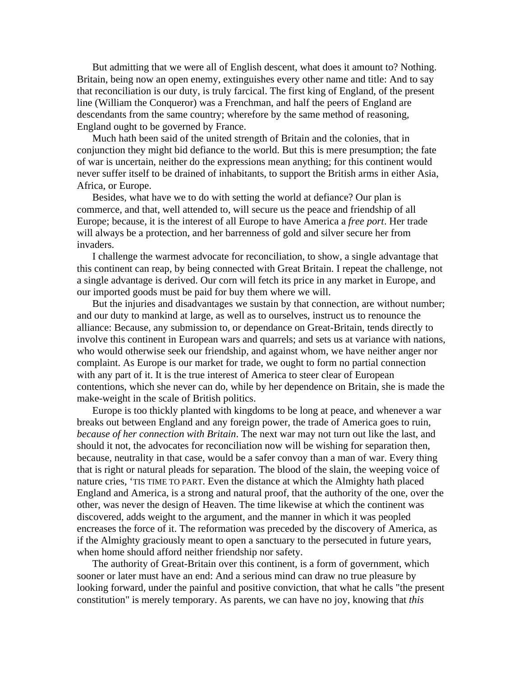But admitting that we were all of English descent, what does it amount to? Nothing. Britain, being now an open enemy, extinguishes every other name and title: And to say that reconciliation is our duty, is truly farcical. The first king of England, of the present line (William the Conqueror) was a Frenchman, and half the peers of England are descendants from the same country; wherefore by the same method of reasoning, England ought to be governed by France.

Much hath been said of the united strength of Britain and the colonies, that in conjunction they might bid defiance to the world. But this is mere presumption; the fate of war is uncertain, neither do the expressions mean anything; for this continent would never suffer itself to be drained of inhabitants, to support the British arms in either Asia, Africa, or Europe.

Besides, what have we to do with setting the world at defiance? Our plan is commerce, and that, well attended to, will secure us the peace and friendship of all Europe; because, it is the interest of all Europe to have America a *free port*. Her trade will always be a protection, and her barrenness of gold and silver secure her from invaders.

I challenge the warmest advocate for reconciliation, to show, a single advantage that this continent can reap, by being connected with Great Britain. I repeat the challenge, not a single advantage is derived. Our corn will fetch its price in any market in Europe, and our imported goods must be paid for buy them where we will.

But the injuries and disadvantages we sustain by that connection, are without number; and our duty to mankind at large, as well as to ourselves, instruct us to renounce the alliance: Because, any submission to, or dependance on Great-Britain, tends directly to involve this continent in European wars and quarrels; and sets us at variance with nations, who would otherwise seek our friendship, and against whom, we have neither anger nor complaint. As Europe is our market for trade, we ought to form no partial connection with any part of it. It is the true interest of America to steer clear of European contentions, which she never can do, while by her dependence on Britain, she is made the make-weight in the scale of British politics.

Europe is too thickly planted with kingdoms to be long at peace, and whenever a war breaks out between England and any foreign power, the trade of America goes to ruin, *because of her connection with Britain*. The next war may not turn out like the last, and should it not, the advocates for reconciliation now will be wishing for separation then, because, neutrality in that case, would be a safer convoy than a man of war. Every thing that is right or natural pleads for separation. The blood of the slain, the weeping voice of nature cries, 'TIS TIME TO PART. Even the distance at which the Almighty hath placed England and America, is a strong and natural proof, that the authority of the one, over the other, was never the design of Heaven. The time likewise at which the continent was discovered, adds weight to the argument, and the manner in which it was peopled encreases the force of it. The reformation was preceded by the discovery of America, as if the Almighty graciously meant to open a sanctuary to the persecuted in future years, when home should afford neither friendship nor safety.

The authority of Great-Britain over this continent, is a form of government, which sooner or later must have an end: And a serious mind can draw no true pleasure by looking forward, under the painful and positive conviction, that what he calls "the present constitution" is merely temporary. As parents, we can have no joy, knowing that *this*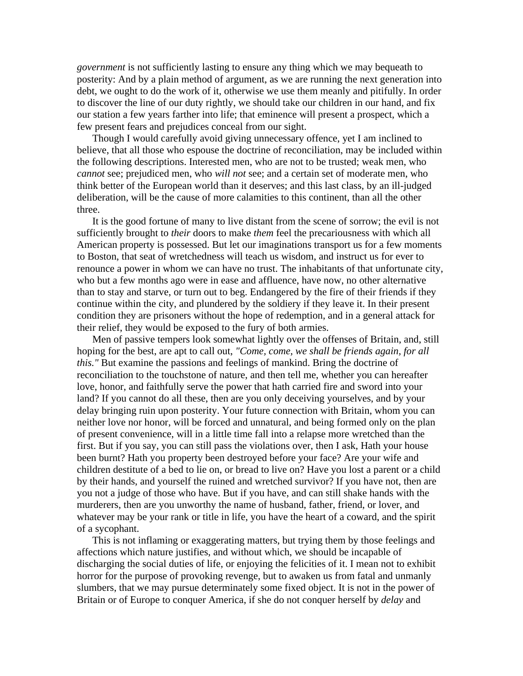*government* is not sufficiently lasting to ensure any thing which we may bequeath to posterity: And by a plain method of argument, as we are running the next generation into debt, we ought to do the work of it, otherwise we use them meanly and pitifully. In order to discover the line of our duty rightly, we should take our children in our hand, and fix our station a few years farther into life; that eminence will present a prospect, which a few present fears and prejudices conceal from our sight.

Though I would carefully avoid giving unnecessary offence, yet I am inclined to believe, that all those who espouse the doctrine of reconciliation, may be included within the following descriptions. Interested men, who are not to be trusted; weak men, who *cannot* see; prejudiced men, who *will not* see; and a certain set of moderate men, who think better of the European world than it deserves; and this last class, by an ill-judged deliberation, will be the cause of more calamities to this continent, than all the other three.

It is the good fortune of many to live distant from the scene of sorrow; the evil is not sufficiently brought to *their* doors to make *them* feel the precariousness with which all American property is possessed. But let our imaginations transport us for a few moments to Boston, that seat of wretchedness will teach us wisdom, and instruct us for ever to renounce a power in whom we can have no trust. The inhabitants of that unfortunate city, who but a few months ago were in ease and affluence, have now, no other alternative than to stay and starve, or turn out to beg. Endangered by the fire of their friends if they continue within the city, and plundered by the soldiery if they leave it. In their present condition they are prisoners without the hope of redemption, and in a general attack for their relief, they would be exposed to the fury of both armies.

Men of passive tempers look somewhat lightly over the offenses of Britain, and, still hoping for the best, are apt to call out, *"Come, come, we shall be friends again, for all this."* But examine the passions and feelings of mankind. Bring the doctrine of reconciliation to the touchstone of nature, and then tell me, whether you can hereafter love, honor, and faithfully serve the power that hath carried fire and sword into your land? If you cannot do all these, then are you only deceiving yourselves, and by your delay bringing ruin upon posterity. Your future connection with Britain, whom you can neither love nor honor, will be forced and unnatural, and being formed only on the plan of present convenience, will in a little time fall into a relapse more wretched than the first. But if you say, you can still pass the violations over, then I ask, Hath your house been burnt? Hath you property been destroyed before your face? Are your wife and children destitute of a bed to lie on, or bread to live on? Have you lost a parent or a child by their hands, and yourself the ruined and wretched survivor? If you have not, then are you not a judge of those who have. But if you have, and can still shake hands with the murderers, then are you unworthy the name of husband, father, friend, or lover, and whatever may be your rank or title in life, you have the heart of a coward, and the spirit of a sycophant.

This is not inflaming or exaggerating matters, but trying them by those feelings and affections which nature justifies, and without which, we should be incapable of discharging the social duties of life, or enjoying the felicities of it. I mean not to exhibit horror for the purpose of provoking revenge, but to awaken us from fatal and unmanly slumbers, that we may pursue determinately some fixed object. It is not in the power of Britain or of Europe to conquer America, if she do not conquer herself by *delay* and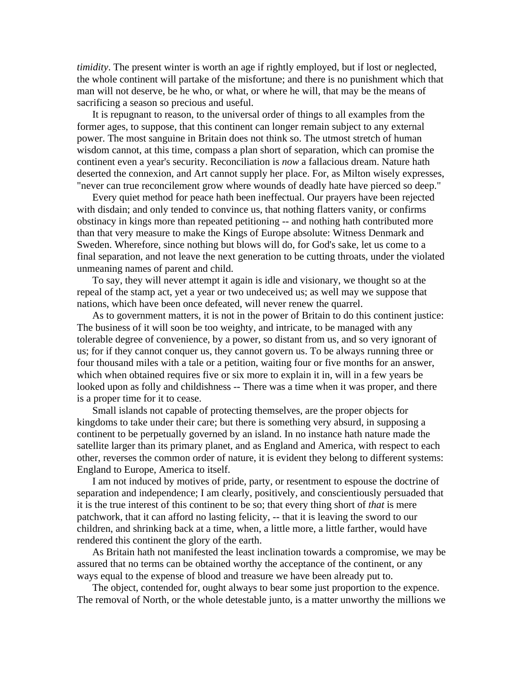*timidity*. The present winter is worth an age if rightly employed, but if lost or neglected, the whole continent will partake of the misfortune; and there is no punishment which that man will not deserve, be he who, or what, or where he will, that may be the means of sacrificing a season so precious and useful.

It is repugnant to reason, to the universal order of things to all examples from the former ages, to suppose, that this continent can longer remain subject to any external power. The most sanguine in Britain does not think so. The utmost stretch of human wisdom cannot, at this time, compass a plan short of separation, which can promise the continent even a year's security. Reconciliation is *now* a fallacious dream. Nature hath deserted the connexion, and Art cannot supply her place. For, as Milton wisely expresses, "never can true reconcilement grow where wounds of deadly hate have pierced so deep."

Every quiet method for peace hath been ineffectual. Our prayers have been rejected with disdain; and only tended to convince us, that nothing flatters vanity, or confirms obstinacy in kings more than repeated petitioning -- and nothing hath contributed more than that very measure to make the Kings of Europe absolute: Witness Denmark and Sweden. Wherefore, since nothing but blows will do, for God's sake, let us come to a final separation, and not leave the next generation to be cutting throats, under the violated unmeaning names of parent and child.

To say, they will never attempt it again is idle and visionary, we thought so at the repeal of the stamp act, yet a year or two undeceived us; as well may we suppose that nations, which have been once defeated, will never renew the quarrel.

As to government matters, it is not in the power of Britain to do this continent justice: The business of it will soon be too weighty, and intricate, to be managed with any tolerable degree of convenience, by a power, so distant from us, and so very ignorant of us; for if they cannot conquer us, they cannot govern us. To be always running three or four thousand miles with a tale or a petition, waiting four or five months for an answer, which when obtained requires five or six more to explain it in, will in a few years be looked upon as folly and childishness -- There was a time when it was proper, and there is a proper time for it to cease.

Small islands not capable of protecting themselves, are the proper objects for kingdoms to take under their care; but there is something very absurd, in supposing a continent to be perpetually governed by an island. In no instance hath nature made the satellite larger than its primary planet, and as England and America, with respect to each other, reverses the common order of nature, it is evident they belong to different systems: England to Europe, America to itself.

I am not induced by motives of pride, party, or resentment to espouse the doctrine of separation and independence; I am clearly, positively, and conscientiously persuaded that it is the true interest of this continent to be so; that every thing short of *that* is mere patchwork, that it can afford no lasting felicity, -- that it is leaving the sword to our children, and shrinking back at a time, when, a little more, a little farther, would have rendered this continent the glory of the earth.

As Britain hath not manifested the least inclination towards a compromise, we may be assured that no terms can be obtained worthy the acceptance of the continent, or any ways equal to the expense of blood and treasure we have been already put to.

The object, contended for, ought always to bear some just proportion to the expence. The removal of North, or the whole detestable junto, is a matter unworthy the millions we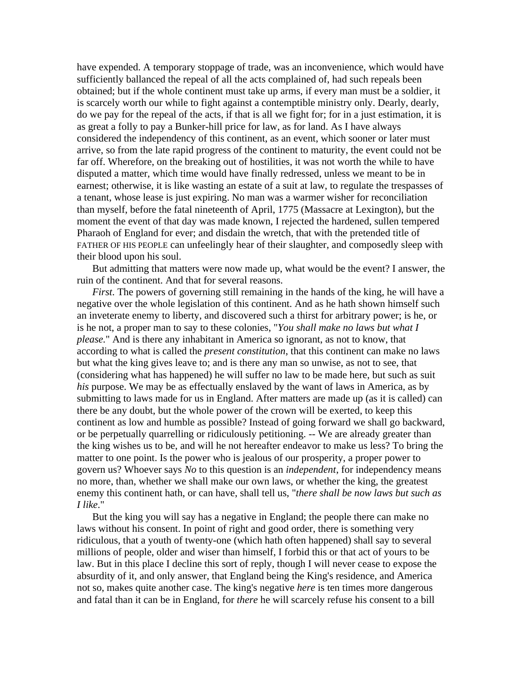have expended. A temporary stoppage of trade, was an inconvenience, which would have sufficiently ballanced the repeal of all the acts complained of, had such repeals been obtained; but if the whole continent must take up arms, if every man must be a soldier, it is scarcely worth our while to fight against a contemptible ministry only. Dearly, dearly, do we pay for the repeal of the acts, if that is all we fight for; for in a just estimation, it is as great a folly to pay a Bunker-hill price for law, as for land. As I have always considered the independency of this continent, as an event, which sooner or later must arrive, so from the late rapid progress of the continent to maturity, the event could not be far off. Wherefore, on the breaking out of hostilities, it was not worth the while to have disputed a matter, which time would have finally redressed, unless we meant to be in earnest; otherwise, it is like wasting an estate of a suit at law, to regulate the trespasses of a tenant, whose lease is just expiring. No man was a warmer wisher for reconciliation than myself, before the fatal nineteenth of April, 1775 (Massacre at Lexington), but the moment the event of that day was made known, I rejected the hardened, sullen tempered Pharaoh of England for ever; and disdain the wretch, that with the pretended title of FATHER OF HIS PEOPLE can unfeelingly hear of their slaughter, and composedly sleep with their blood upon his soul.

But admitting that matters were now made up, what would be the event? I answer, the ruin of the continent. And that for several reasons.

*First*. The powers of governing still remaining in the hands of the king, he will have a negative over the whole legislation of this continent. And as he hath shown himself such an inveterate enemy to liberty, and discovered such a thirst for arbitrary power; is he, or is he not, a proper man to say to these colonies, "*You shall make no laws but what I please.*" And is there any inhabitant in America so ignorant, as not to know, that according to what is called the *present constitution*, that this continent can make no laws but what the king gives leave to; and is there any man so unwise, as not to see, that (considering what has happened) he will suffer no law to be made here, but such as suit *his* purpose. We may be as effectually enslaved by the want of laws in America, as by submitting to laws made for us in England. After matters are made up (as it is called) can there be any doubt, but the whole power of the crown will be exerted, to keep this continent as low and humble as possible? Instead of going forward we shall go backward, or be perpetually quarrelling or ridiculously petitioning. -- We are already greater than the king wishes us to be, and will he not hereafter endeavor to make us less? To bring the matter to one point. Is the power who is jealous of our prosperity, a proper power to govern us? Whoever says *No* to this question is an *independent*, for independency means no more, than, whether we shall make our own laws, or whether the king, the greatest enemy this continent hath, or can have, shall tell us, "*there shall be now laws but such as I like*."

But the king you will say has a negative in England; the people there can make no laws without his consent. In point of right and good order, there is something very ridiculous, that a youth of twenty-one (which hath often happened) shall say to several millions of people, older and wiser than himself, I forbid this or that act of yours to be law. But in this place I decline this sort of reply, though I will never cease to expose the absurdity of it, and only answer, that England being the King's residence, and America not so, makes quite another case. The king's negative *here* is ten times more dangerous and fatal than it can be in England, for *there* he will scarcely refuse his consent to a bill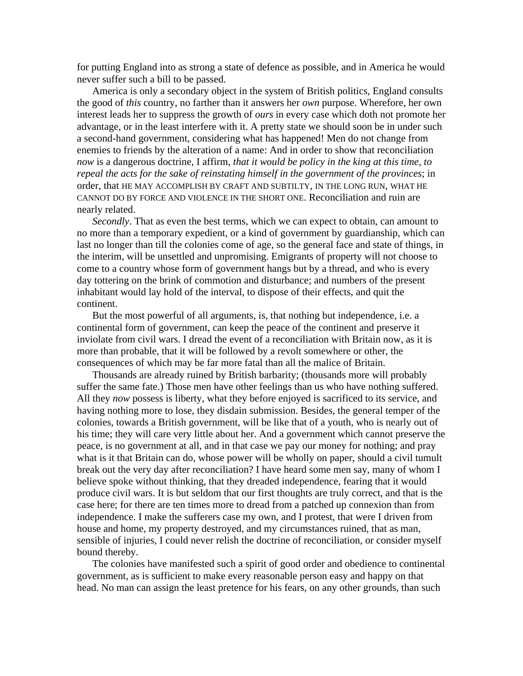for putting England into as strong a state of defence as possible, and in America he would never suffer such a bill to be passed.

America is only a secondary object in the system of British politics, England consults the good of *this* country, no farther than it answers her *own* purpose. Wherefore, her own interest leads her to suppress the growth of *ours* in every case which doth not promote her advantage, or in the least interfere with it. A pretty state we should soon be in under such a second-hand government, considering what has happened! Men do not change from enemies to friends by the alteration of a name: And in order to show that reconciliation *now* is a dangerous doctrine, I affirm, *that it would be policy in the king at this time, to repeal the acts for the sake of reinstating himself in the government of the provinces*; in order, that HE MAY ACCOMPLISH BY CRAFT AND SUBTILTY, IN THE LONG RUN, WHAT HE CANNOT DO BY FORCE AND VIOLENCE IN THE SHORT ONE. Reconciliation and ruin are nearly related.

*Secondly*. That as even the best terms, which we can expect to obtain, can amount to no more than a temporary expedient, or a kind of government by guardianship, which can last no longer than till the colonies come of age, so the general face and state of things, in the interim, will be unsettled and unpromising. Emigrants of property will not choose to come to a country whose form of government hangs but by a thread, and who is every day tottering on the brink of commotion and disturbance; and numbers of the present inhabitant would lay hold of the interval, to dispose of their effects, and quit the continent.

But the most powerful of all arguments, is, that nothing but independence, i.e. a continental form of government, can keep the peace of the continent and preserve it inviolate from civil wars. I dread the event of a reconciliation with Britain now, as it is more than probable, that it will be followed by a revolt somewhere or other, the consequences of which may be far more fatal than all the malice of Britain.

Thousands are already ruined by British barbarity; (thousands more will probably suffer the same fate.) Those men have other feelings than us who have nothing suffered. All they *now* possess is liberty, what they before enjoyed is sacrificed to its service, and having nothing more to lose, they disdain submission. Besides, the general temper of the colonies, towards a British government, will be like that of a youth, who is nearly out of his time; they will care very little about her. And a government which cannot preserve the peace, is no government at all, and in that case we pay our money for nothing; and pray what is it that Britain can do, whose power will be wholly on paper, should a civil tumult break out the very day after reconciliation? I have heard some men say, many of whom I believe spoke without thinking, that they dreaded independence, fearing that it would produce civil wars. It is but seldom that our first thoughts are truly correct, and that is the case here; for there are ten times more to dread from a patched up connexion than from independence. I make the sufferers case my own, and I protest, that were I driven from house and home, my property destroyed, and my circumstances ruined, that as man, sensible of injuries, I could never relish the doctrine of reconciliation, or consider myself bound thereby.

The colonies have manifested such a spirit of good order and obedience to continental government, as is sufficient to make every reasonable person easy and happy on that head. No man can assign the least pretence for his fears, on any other grounds, than such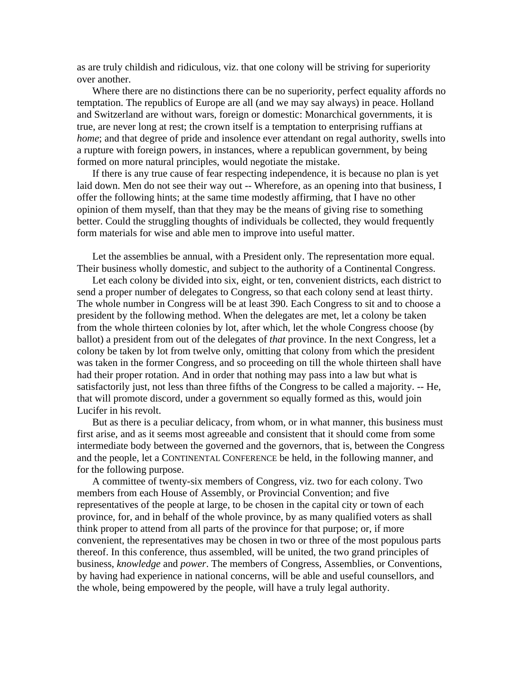as are truly childish and ridiculous, viz. that one colony will be striving for superiority over another.

Where there are no distinctions there can be no superiority, perfect equality affords no temptation. The republics of Europe are all (and we may say always) in peace. Holland and Switzerland are without wars, foreign or domestic: Monarchical governments, it is true, are never long at rest; the crown itself is a temptation to enterprising ruffians at *home*; and that degree of pride and insolence ever attendant on regal authority, swells into a rupture with foreign powers, in instances, where a republican government, by being formed on more natural principles, would negotiate the mistake.

If there is any true cause of fear respecting independence, it is because no plan is yet laid down. Men do not see their way out -- Wherefore, as an opening into that business, I offer the following hints; at the same time modestly affirming, that I have no other opinion of them myself, than that they may be the means of giving rise to something better. Could the struggling thoughts of individuals be collected, they would frequently form materials for wise and able men to improve into useful matter.

Let the assemblies be annual, with a President only. The representation more equal. Their business wholly domestic, and subject to the authority of a Continental Congress.

Let each colony be divided into six, eight, or ten, convenient districts, each district to send a proper number of delegates to Congress, so that each colony send at least thirty. The whole number in Congress will be at least 390. Each Congress to sit and to choose a president by the following method. When the delegates are met, let a colony be taken from the whole thirteen colonies by lot, after which, let the whole Congress choose (by ballot) a president from out of the delegates of *that* province. In the next Congress, let a colony be taken by lot from twelve only, omitting that colony from which the president was taken in the former Congress, and so proceeding on till the whole thirteen shall have had their proper rotation. And in order that nothing may pass into a law but what is satisfactorily just, not less than three fifths of the Congress to be called a majority. -- He, that will promote discord, under a government so equally formed as this, would join Lucifer in his revolt.

But as there is a peculiar delicacy, from whom, or in what manner, this business must first arise, and as it seems most agreeable and consistent that it should come from some intermediate body between the governed and the governors, that is, between the Congress and the people, let a CONTINENTAL CONFERENCE be held, in the following manner, and for the following purpose.

A committee of twenty-six members of Congress, viz. two for each colony. Two members from each House of Assembly, or Provincial Convention; and five representatives of the people at large, to be chosen in the capital city or town of each province, for, and in behalf of the whole province, by as many qualified voters as shall think proper to attend from all parts of the province for that purpose; or, if more convenient, the representatives may be chosen in two or three of the most populous parts thereof. In this conference, thus assembled, will be united, the two grand principles of business, *knowledge* and *power*. The members of Congress, Assemblies, or Conventions, by having had experience in national concerns, will be able and useful counsellors, and the whole, being empowered by the people, will have a truly legal authority.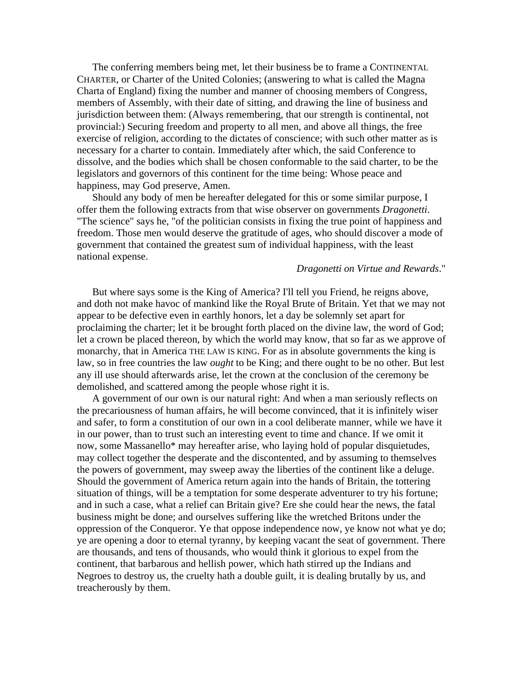The conferring members being met, let their business be to frame a CONTINENTAL CHARTER, or Charter of the United Colonies; (answering to what is called the Magna Charta of England) fixing the number and manner of choosing members of Congress, members of Assembly, with their date of sitting, and drawing the line of business and jurisdiction between them: (Always remembering, that our strength is continental, not provincial:) Securing freedom and property to all men, and above all things, the free exercise of religion, according to the dictates of conscience; with such other matter as is necessary for a charter to contain. Immediately after which, the said Conference to dissolve, and the bodies which shall be chosen conformable to the said charter, to be the legislators and governors of this continent for the time being: Whose peace and happiness, may God preserve, Amen.

Should any body of men be hereafter delegated for this or some similar purpose, I offer them the following extracts from that wise observer on governments *Dragonetti*. "The science" says he, "of the politician consists in fixing the true point of happiness and freedom. Those men would deserve the gratitude of ages, who should discover a mode of government that contained the greatest sum of individual happiness, with the least national expense.

### *Dragonetti on Virtue and Rewards*."

But where says some is the King of America? I'll tell you Friend, he reigns above, and doth not make havoc of mankind like the Royal Brute of Britain. Yet that we may not appear to be defective even in earthly honors, let a day be solemnly set apart for proclaiming the charter; let it be brought forth placed on the divine law, the word of God; let a crown be placed thereon, by which the world may know, that so far as we approve of monarchy, that in America THE LAW IS KING. For as in absolute governments the king is law, so in free countries the law *ought* to be King; and there ought to be no other. But lest any ill use should afterwards arise, let the crown at the conclusion of the ceremony be demolished, and scattered among the people whose right it is.

A government of our own is our natural right: And when a man seriously reflects on the precariousness of human affairs, he will become convinced, that it is infinitely wiser and safer, to form a constitution of our own in a cool deliberate manner, while we have it in our power, than to trust such an interesting event to time and chance. If we omit it now, some Massanello\* may hereafter arise, who laying hold of popular disquietudes, may collect together the desperate and the discontented, and by assuming to themselves the powers of government, may sweep away the liberties of the continent like a deluge. Should the government of America return again into the hands of Britain, the tottering situation of things, will be a temptation for some desperate adventurer to try his fortune; and in such a case, what a relief can Britain give? Ere she could hear the news, the fatal business might be done; and ourselves suffering like the wretched Britons under the oppression of the Conqueror. Ye that oppose independence now, ye know not what ye do; ye are opening a door to eternal tyranny, by keeping vacant the seat of government. There are thousands, and tens of thousands, who would think it glorious to expel from the continent, that barbarous and hellish power, which hath stirred up the Indians and Negroes to destroy us, the cruelty hath a double guilt, it is dealing brutally by us, and treacherously by them.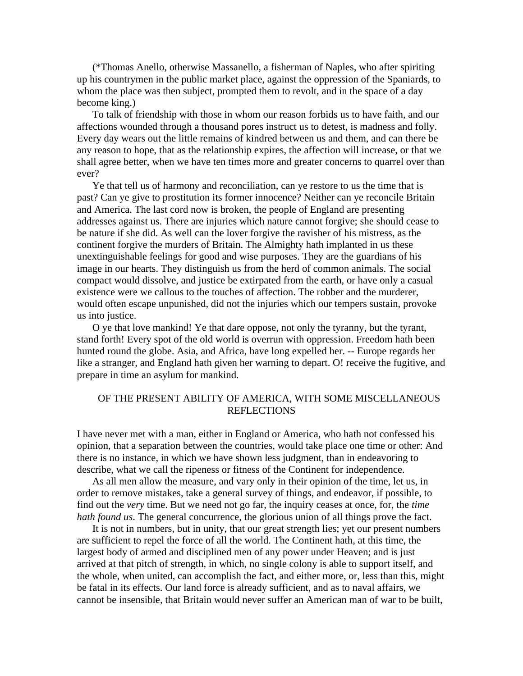(\*Thomas Anello, otherwise Massanello, a fisherman of Naples, who after spiriting up his countrymen in the public market place, against the oppression of the Spaniards, to whom the place was then subject, prompted them to revolt, and in the space of a day become king.)

To talk of friendship with those in whom our reason forbids us to have faith, and our affections wounded through a thousand pores instruct us to detest, is madness and folly. Every day wears out the little remains of kindred between us and them, and can there be any reason to hope, that as the relationship expires, the affection will increase, or that we shall agree better, when we have ten times more and greater concerns to quarrel over than ever?

Ye that tell us of harmony and reconciliation, can ye restore to us the time that is past? Can ye give to prostitution its former innocence? Neither can ye reconcile Britain and America. The last cord now is broken, the people of England are presenting addresses against us. There are injuries which nature cannot forgive; she should cease to be nature if she did. As well can the lover forgive the ravisher of his mistress, as the continent forgive the murders of Britain. The Almighty hath implanted in us these unextinguishable feelings for good and wise purposes. They are the guardians of his image in our hearts. They distinguish us from the herd of common animals. The social compact would dissolve, and justice be extirpated from the earth, or have only a casual existence were we callous to the touches of affection. The robber and the murderer, would often escape unpunished, did not the injuries which our tempers sustain, provoke us into justice.

O ye that love mankind! Ye that dare oppose, not only the tyranny, but the tyrant, stand forth! Every spot of the old world is overrun with oppression. Freedom hath been hunted round the globe. Asia, and Africa, have long expelled her. -- Europe regards her like a stranger, and England hath given her warning to depart. O! receive the fugitive, and prepare in time an asylum for mankind.

## OF THE PRESENT ABILITY OF AMERICA, WITH SOME MISCELLANEOUS REFLECTIONS

I have never met with a man, either in England or America, who hath not confessed his opinion, that a separation between the countries, would take place one time or other: And there is no instance, in which we have shown less judgment, than in endeavoring to describe, what we call the ripeness or fitness of the Continent for independence.

As all men allow the measure, and vary only in their opinion of the time, let us, in order to remove mistakes, take a general survey of things, and endeavor, if possible, to find out the *very* time. But we need not go far, the inquiry ceases at once, for, the *time hath found us*. The general concurrence, the glorious union of all things prove the fact.

It is not in numbers, but in unity, that our great strength lies; yet our present numbers are sufficient to repel the force of all the world. The Continent hath, at this time, the largest body of armed and disciplined men of any power under Heaven; and is just arrived at that pitch of strength, in which, no single colony is able to support itself, and the whole, when united, can accomplish the fact, and either more, or, less than this, might be fatal in its effects. Our land force is already sufficient, and as to naval affairs, we cannot be insensible, that Britain would never suffer an American man of war to be built,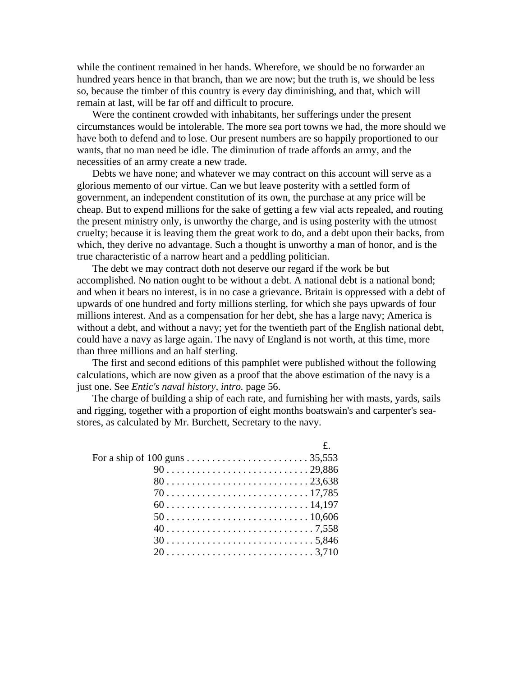while the continent remained in her hands. Wherefore, we should be no forwarder an hundred years hence in that branch, than we are now; but the truth is, we should be less so, because the timber of this country is every day diminishing, and that, which will remain at last, will be far off and difficult to procure.

Were the continent crowded with inhabitants, her sufferings under the present circumstances would be intolerable. The more sea port towns we had, the more should we have both to defend and to lose. Our present numbers are so happily proportioned to our wants, that no man need be idle. The diminution of trade affords an army, and the necessities of an army create a new trade.

Debts we have none; and whatever we may contract on this account will serve as a glorious memento of our virtue. Can we but leave posterity with a settled form of government, an independent constitution of its own, the purchase at any price will be cheap. But to expend millions for the sake of getting a few vial acts repealed, and routing the present ministry only, is unworthy the charge, and is using posterity with the utmost cruelty; because it is leaving them the great work to do, and a debt upon their backs, from which, they derive no advantage. Such a thought is unworthy a man of honor, and is the true characteristic of a narrow heart and a peddling politician.

The debt we may contract doth not deserve our regard if the work be but accomplished. No nation ought to be without a debt. A national debt is a national bond; and when it bears no interest, is in no case a grievance. Britain is oppressed with a debt of upwards of one hundred and forty millions sterling, for which she pays upwards of four millions interest. And as a compensation for her debt, she has a large navy; America is without a debt, and without a navy; yet for the twentieth part of the English national debt, could have a navy as large again. The navy of England is not worth, at this time, more than three millions and an half sterling.

The first and second editions of this pamphlet were published without the following calculations, which are now given as a proof that the above estimation of the navy is a just one. See *Entic's naval history, intro.* page 56.

The charge of building a ship of each rate, and furnishing her with masts, yards, sails and rigging, together with a proportion of eight months boatswain's and carpenter's seastores, as calculated by Mr. Burchett, Secretary to the navy.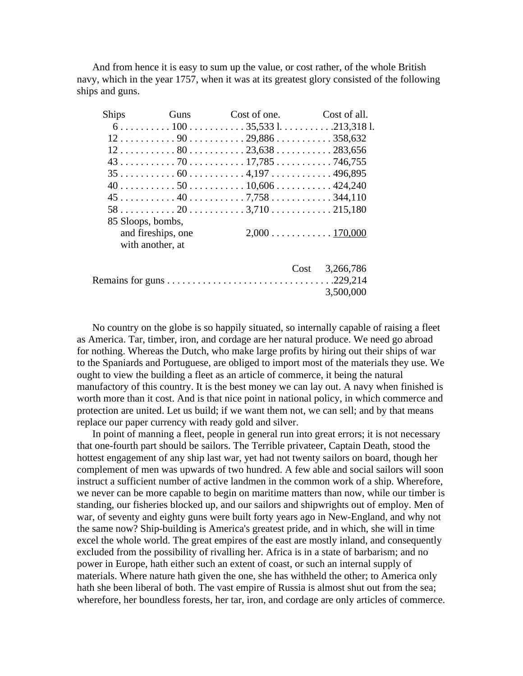And from hence it is easy to sum up the value, or cost rather, of the whole British navy, which in the year 1757, when it was at its greatest glory consisted of the following ships and guns.

| <b>Ships</b> |                    | Guns Cost of one. Cost of all.                                                                             |           |
|--------------|--------------------|------------------------------------------------------------------------------------------------------------|-----------|
|              |                    | $6 \ldots \ldots \ldots 100 \ldots \ldots \ldots 35,5331 \ldots \ldots \ldots 213,3181$                    |           |
|              |                    | $12 \ldots \ldots \ldots 90 \ldots \ldots \ldots 29,886 \ldots \ldots \ldots 358,632$                      |           |
|              |                    | $12 \ldots \ldots \ldots \ldots 80 \ldots \ldots \ldots \ldots 23,638 \ldots \ldots \ldots \ldots 283,656$ |           |
|              |                    | $43 \ldots \ldots \ldots \ldots 70 \ldots \ldots \ldots 17,785 \ldots \ldots \ldots \ldots 746,755$        |           |
|              |                    |                                                                                                            |           |
|              |                    |                                                                                                            |           |
|              |                    |                                                                                                            |           |
|              |                    |                                                                                                            |           |
|              | 85 Sloops, bombs,  |                                                                                                            |           |
|              | and fireships, one |                                                                                                            |           |
|              | with another, at   |                                                                                                            |           |
|              |                    | Cost                                                                                                       | 3,266,786 |
|              |                    |                                                                                                            |           |
|              |                    |                                                                                                            | 3,500,000 |
|              |                    |                                                                                                            |           |

No country on the globe is so happily situated, so internally capable of raising a fleet as America. Tar, timber, iron, and cordage are her natural produce. We need go abroad for nothing. Whereas the Dutch, who make large profits by hiring out their ships of war to the Spaniards and Portuguese, are obliged to import most of the materials they use. We ought to view the building a fleet as an article of commerce, it being the natural manufactory of this country. It is the best money we can lay out. A navy when finished is worth more than it cost. And is that nice point in national policy, in which commerce and protection are united. Let us build; if we want them not, we can sell; and by that means replace our paper currency with ready gold and silver.

In point of manning a fleet, people in general run into great errors; it is not necessary that one-fourth part should be sailors. The Terrible privateer, Captain Death, stood the hottest engagement of any ship last war, yet had not twenty sailors on board, though her complement of men was upwards of two hundred. A few able and social sailors will soon instruct a sufficient number of active landmen in the common work of a ship. Wherefore, we never can be more capable to begin on maritime matters than now, while our timber is standing, our fisheries blocked up, and our sailors and shipwrights out of employ. Men of war, of seventy and eighty guns were built forty years ago in New-England, and why not the same now? Ship-building is America's greatest pride, and in which, she will in time excel the whole world. The great empires of the east are mostly inland, and consequently excluded from the possibility of rivalling her. Africa is in a state of barbarism; and no power in Europe, hath either such an extent of coast, or such an internal supply of materials. Where nature hath given the one, she has withheld the other; to America only hath she been liberal of both. The vast empire of Russia is almost shut out from the sea; wherefore, her boundless forests, her tar, iron, and cordage are only articles of commerce.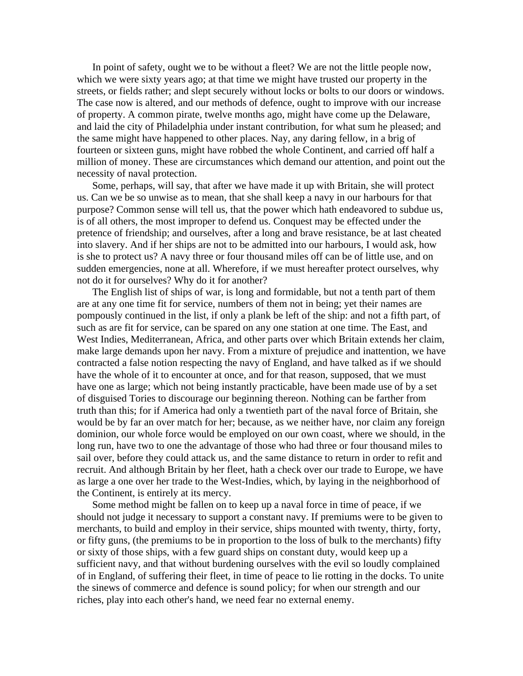In point of safety, ought we to be without a fleet? We are not the little people now, which we were sixty years ago; at that time we might have trusted our property in the streets, or fields rather; and slept securely without locks or bolts to our doors or windows. The case now is altered, and our methods of defence, ought to improve with our increase of property. A common pirate, twelve months ago, might have come up the Delaware, and laid the city of Philadelphia under instant contribution, for what sum he pleased; and the same might have happened to other places. Nay, any daring fellow, in a brig of fourteen or sixteen guns, might have robbed the whole Continent, and carried off half a million of money. These are circumstances which demand our attention, and point out the necessity of naval protection.

Some, perhaps, will say, that after we have made it up with Britain, she will protect us. Can we be so unwise as to mean, that she shall keep a navy in our harbours for that purpose? Common sense will tell us, that the power which hath endeavored to subdue us, is of all others, the most improper to defend us. Conquest may be effected under the pretence of friendship; and ourselves, after a long and brave resistance, be at last cheated into slavery. And if her ships are not to be admitted into our harbours, I would ask, how is she to protect us? A navy three or four thousand miles off can be of little use, and on sudden emergencies, none at all. Wherefore, if we must hereafter protect ourselves, why not do it for ourselves? Why do it for another?

The English list of ships of war, is long and formidable, but not a tenth part of them are at any one time fit for service, numbers of them not in being; yet their names are pompously continued in the list, if only a plank be left of the ship: and not a fifth part, of such as are fit for service, can be spared on any one station at one time. The East, and West Indies, Mediterranean, Africa, and other parts over which Britain extends her claim, make large demands upon her navy. From a mixture of prejudice and inattention, we have contracted a false notion respecting the navy of England, and have talked as if we should have the whole of it to encounter at once, and for that reason, supposed, that we must have one as large; which not being instantly practicable, have been made use of by a set of disguised Tories to discourage our beginning thereon. Nothing can be farther from truth than this; for if America had only a twentieth part of the naval force of Britain, she would be by far an over match for her; because, as we neither have, nor claim any foreign dominion, our whole force would be employed on our own coast, where we should, in the long run, have two to one the advantage of those who had three or four thousand miles to sail over, before they could attack us, and the same distance to return in order to refit and recruit. And although Britain by her fleet, hath a check over our trade to Europe, we have as large a one over her trade to the West-Indies, which, by laying in the neighborhood of the Continent, is entirely at its mercy.

Some method might be fallen on to keep up a naval force in time of peace, if we should not judge it necessary to support a constant navy. If premiums were to be given to merchants, to build and employ in their service, ships mounted with twenty, thirty, forty, or fifty guns, (the premiums to be in proportion to the loss of bulk to the merchants) fifty or sixty of those ships, with a few guard ships on constant duty, would keep up a sufficient navy, and that without burdening ourselves with the evil so loudly complained of in England, of suffering their fleet, in time of peace to lie rotting in the docks. To unite the sinews of commerce and defence is sound policy; for when our strength and our riches, play into each other's hand, we need fear no external enemy.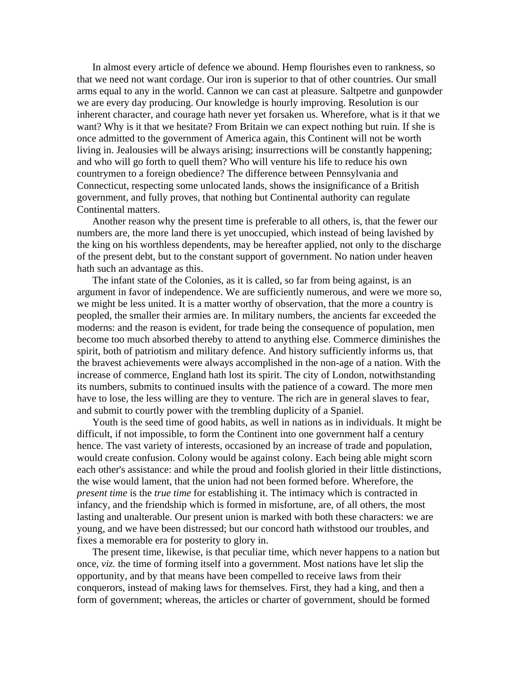In almost every article of defence we abound. Hemp flourishes even to rankness, so that we need not want cordage. Our iron is superior to that of other countries. Our small arms equal to any in the world. Cannon we can cast at pleasure. Saltpetre and gunpowder we are every day producing. Our knowledge is hourly improving. Resolution is our inherent character, and courage hath never yet forsaken us. Wherefore, what is it that we want? Why is it that we hesitate? From Britain we can expect nothing but ruin. If she is once admitted to the government of America again, this Continent will not be worth living in. Jealousies will be always arising; insurrections will be constantly happening; and who will go forth to quell them? Who will venture his life to reduce his own countrymen to a foreign obedience? The difference between Pennsylvania and Connecticut, respecting some unlocated lands, shows the insignificance of a British government, and fully proves, that nothing but Continental authority can regulate Continental matters.

Another reason why the present time is preferable to all others, is, that the fewer our numbers are, the more land there is yet unoccupied, which instead of being lavished by the king on his worthless dependents, may be hereafter applied, not only to the discharge of the present debt, but to the constant support of government. No nation under heaven hath such an advantage as this.

The infant state of the Colonies, as it is called, so far from being against, is an argument in favor of independence. We are sufficiently numerous, and were we more so, we might be less united. It is a matter worthy of observation, that the more a country is peopled, the smaller their armies are. In military numbers, the ancients far exceeded the moderns: and the reason is evident, for trade being the consequence of population, men become too much absorbed thereby to attend to anything else. Commerce diminishes the spirit, both of patriotism and military defence. And history sufficiently informs us, that the bravest achievements were always accomplished in the non-age of a nation. With the increase of commerce, England hath lost its spirit. The city of London, notwithstanding its numbers, submits to continued insults with the patience of a coward. The more men have to lose, the less willing are they to venture. The rich are in general slaves to fear, and submit to courtly power with the trembling duplicity of a Spaniel.

Youth is the seed time of good habits, as well in nations as in individuals. It might be difficult, if not impossible, to form the Continent into one government half a century hence. The vast variety of interests, occasioned by an increase of trade and population, would create confusion. Colony would be against colony. Each being able might scorn each other's assistance: and while the proud and foolish gloried in their little distinctions, the wise would lament, that the union had not been formed before. Wherefore, the *present time* is the *true time* for establishing it. The intimacy which is contracted in infancy, and the friendship which is formed in misfortune, are, of all others, the most lasting and unalterable. Our present union is marked with both these characters: we are young, and we have been distressed; but our concord hath withstood our troubles, and fixes a memorable era for posterity to glory in.

The present time, likewise, is that peculiar time, which never happens to a nation but once, *viz.* the time of forming itself into a government. Most nations have let slip the opportunity, and by that means have been compelled to receive laws from their conquerors, instead of making laws for themselves. First, they had a king, and then a form of government; whereas, the articles or charter of government, should be formed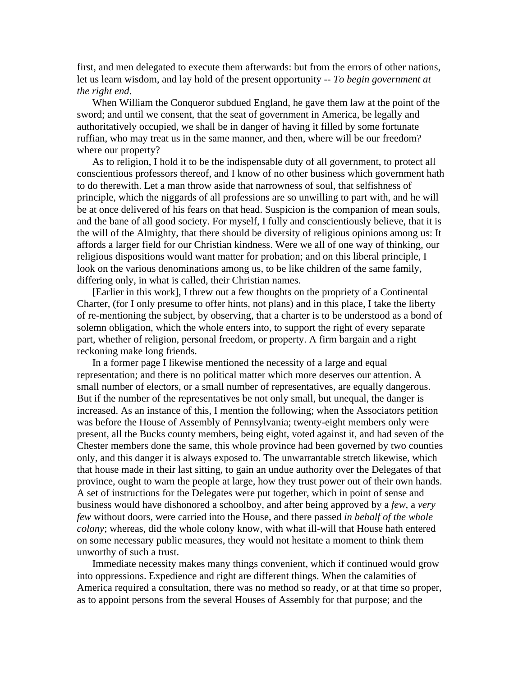first, and men delegated to execute them afterwards: but from the errors of other nations, let us learn wisdom, and lay hold of the present opportunity -- *To begin government at the right end*.

When William the Conqueror subdued England, he gave them law at the point of the sword; and until we consent, that the seat of government in America, be legally and authoritatively occupied, we shall be in danger of having it filled by some fortunate ruffian, who may treat us in the same manner, and then, where will be our freedom? where our property?

As to religion, I hold it to be the indispensable duty of all government, to protect all conscientious professors thereof, and I know of no other business which government hath to do therewith. Let a man throw aside that narrowness of soul, that selfishness of principle, which the niggards of all professions are so unwilling to part with, and he will be at once delivered of his fears on that head. Suspicion is the companion of mean souls, and the bane of all good society. For myself, I fully and conscientiously believe, that it is the will of the Almighty, that there should be diversity of religious opinions among us: It affords a larger field for our Christian kindness. Were we all of one way of thinking, our religious dispositions would want matter for probation; and on this liberal principle, I look on the various denominations among us, to be like children of the same family, differing only, in what is called, their Christian names.

[Earlier in this work], I threw out a few thoughts on the propriety of a Continental Charter, (for I only presume to offer hints, not plans) and in this place, I take the liberty of re-mentioning the subject, by observing, that a charter is to be understood as a bond of solemn obligation, which the whole enters into, to support the right of every separate part, whether of religion, personal freedom, or property. A firm bargain and a right reckoning make long friends.

In a former page I likewise mentioned the necessity of a large and equal representation; and there is no political matter which more deserves our attention. A small number of electors, or a small number of representatives, are equally dangerous. But if the number of the representatives be not only small, but unequal, the danger is increased. As an instance of this, I mention the following; when the Associators petition was before the House of Assembly of Pennsylvania; twenty-eight members only were present, all the Bucks county members, being eight, voted against it, and had seven of the Chester members done the same, this whole province had been governed by two counties only, and this danger it is always exposed to. The unwarrantable stretch likewise, which that house made in their last sitting, to gain an undue authority over the Delegates of that province, ought to warn the people at large, how they trust power out of their own hands. A set of instructions for the Delegates were put together, which in point of sense and business would have dishonored a schoolboy, and after being approved by a *few*, a *very few* without doors, were carried into the House, and there passed *in behalf of the whole colony*; whereas, did the whole colony know, with what ill-will that House hath entered on some necessary public measures, they would not hesitate a moment to think them unworthy of such a trust.

Immediate necessity makes many things convenient, which if continued would grow into oppressions. Expedience and right are different things. When the calamities of America required a consultation, there was no method so ready, or at that time so proper, as to appoint persons from the several Houses of Assembly for that purpose; and the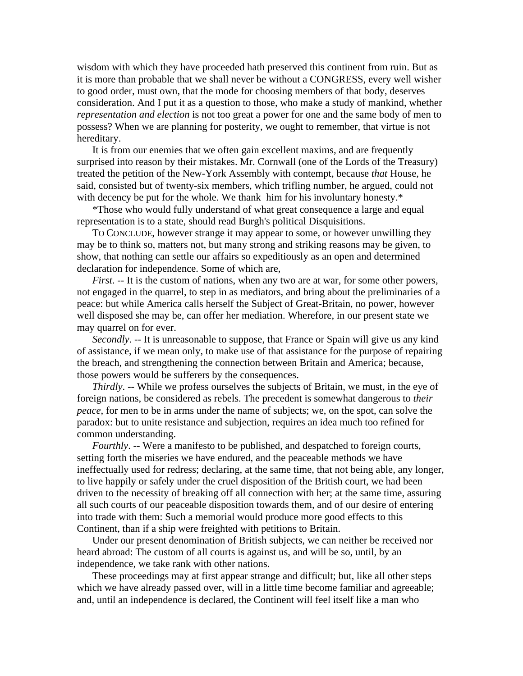wisdom with which they have proceeded hath preserved this continent from ruin. But as it is more than probable that we shall never be without a CONGRESS, every well wisher to good order, must own, that the mode for choosing members of that body, deserves consideration. And I put it as a question to those, who make a study of mankind, whether *representation and election* is not too great a power for one and the same body of men to possess? When we are planning for posterity, we ought to remember, that virtue is not hereditary.

It is from our enemies that we often gain excellent maxims, and are frequently surprised into reason by their mistakes. Mr. Cornwall (one of the Lords of the Treasury) treated the petition of the New-York Assembly with contempt, because *that* House, he said, consisted but of twenty-six members, which trifling number, he argued, could not with decency be put for the whole. We thank him for his involuntary honesty.\*

\*Those who would fully understand of what great consequence a large and equal representation is to a state, should read Burgh's political Disquisitions.

TO CONCLUDE, however strange it may appear to some, or however unwilling they may be to think so, matters not, but many strong and striking reasons may be given, to show, that nothing can settle our affairs so expeditiously as an open and determined declaration for independence. Some of which are,

*First*. -- It is the custom of nations, when any two are at war, for some other powers, not engaged in the quarrel, to step in as mediators, and bring about the preliminaries of a peace: but while America calls herself the Subject of Great-Britain, no power, however well disposed she may be, can offer her mediation. Wherefore, in our present state we may quarrel on for ever.

*Secondly*. -- It is unreasonable to suppose, that France or Spain will give us any kind of assistance, if we mean only, to make use of that assistance for the purpose of repairing the breach, and strengthening the connection between Britain and America; because, those powers would be sufferers by the consequences.

*Thirdly*. -- While we profess ourselves the subjects of Britain, we must, in the eye of foreign nations, be considered as rebels. The precedent is somewhat dangerous to *their peace*, for men to be in arms under the name of subjects; we, on the spot, can solve the paradox: but to unite resistance and subjection, requires an idea much too refined for common understanding.

*Fourthly*. -- Were a manifesto to be published, and despatched to foreign courts, setting forth the miseries we have endured, and the peaceable methods we have ineffectually used for redress; declaring, at the same time, that not being able, any longer, to live happily or safely under the cruel disposition of the British court, we had been driven to the necessity of breaking off all connection with her; at the same time, assuring all such courts of our peaceable disposition towards them, and of our desire of entering into trade with them: Such a memorial would produce more good effects to this Continent, than if a ship were freighted with petitions to Britain.

Under our present denomination of British subjects, we can neither be received nor heard abroad: The custom of all courts is against us, and will be so, until, by an independence, we take rank with other nations.

These proceedings may at first appear strange and difficult; but, like all other steps which we have already passed over, will in a little time become familiar and agreeable; and, until an independence is declared, the Continent will feel itself like a man who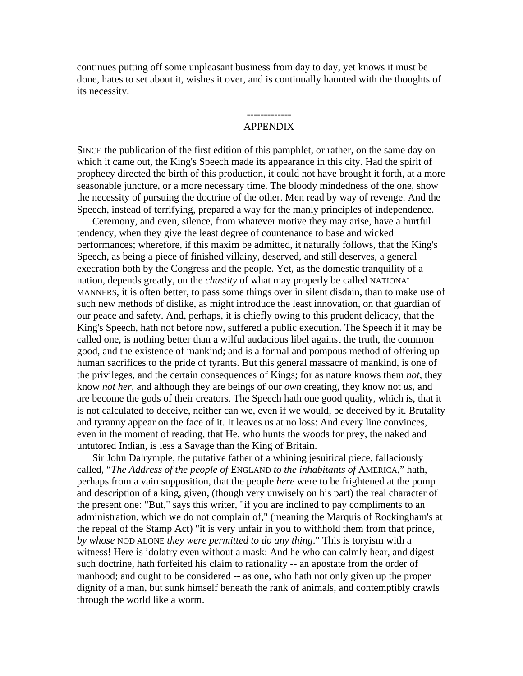continues putting off some unpleasant business from day to day, yet knows it must be done, hates to set about it, wishes it over, and is continually haunted with the thoughts of its necessity.

#### ------------- APPENDIX

SINCE the publication of the first edition of this pamphlet, or rather, on the same day on which it came out, the King's Speech made its appearance in this city. Had the spirit of prophecy directed the birth of this production, it could not have brought it forth, at a more seasonable juncture, or a more necessary time. The bloody mindedness of the one, show the necessity of pursuing the doctrine of the other. Men read by way of revenge. And the Speech, instead of terrifying, prepared a way for the manly principles of independence.

Ceremony, and even, silence, from whatever motive they may arise, have a hurtful tendency, when they give the least degree of countenance to base and wicked performances; wherefore, if this maxim be admitted, it naturally follows, that the King's Speech, as being a piece of finished villainy, deserved, and still deserves, a general execration both by the Congress and the people. Yet, as the domestic tranquility of a nation, depends greatly, on the *chastity* of what may properly be called NATIONAL MANNERS, it is often better, to pass some things over in silent disdain, than to make use of such new methods of dislike, as might introduce the least innovation, on that guardian of our peace and safety. And, perhaps, it is chiefly owing to this prudent delicacy, that the King's Speech, hath not before now, suffered a public execution. The Speech if it may be called one, is nothing better than a wilful audacious libel against the truth, the common good, and the existence of mankind; and is a formal and pompous method of offering up human sacrifices to the pride of tyrants. But this general massacre of mankind, is one of the privileges, and the certain consequences of Kings; for as nature knows them *not*, they know *not her*, and although they are beings of our *own* creating, they know not *us*, and are become the gods of their creators. The Speech hath one good quality, which is, that it is not calculated to deceive, neither can we, even if we would, be deceived by it. Brutality and tyranny appear on the face of it. It leaves us at no loss: And every line convinces, even in the moment of reading, that He, who hunts the woods for prey, the naked and untutored Indian, is less a Savage than the King of Britain.

Sir John Dalrymple, the putative father of a whining jesuitical piece, fallaciously called, "*The Address of the people of* ENGLAND *to the inhabitants of* AMERICA," hath, perhaps from a vain supposition, that the people *here* were to be frightened at the pomp and description of a king, given, (though very unwisely on his part) the real character of the present one: "But," says this writer, "if you are inclined to pay compliments to an administration, which we do not complain of," (meaning the Marquis of Rockingham's at the repeal of the Stamp Act) "it is very unfair in you to withhold them from that prince, *by whose* NOD ALONE *they were permitted to do any thing*." This is toryism with a witness! Here is idolatry even without a mask: And he who can calmly hear, and digest such doctrine, hath forfeited his claim to rationality -- an apostate from the order of manhood; and ought to be considered -- as one, who hath not only given up the proper dignity of a man, but sunk himself beneath the rank of animals, and contemptibly crawls through the world like a worm.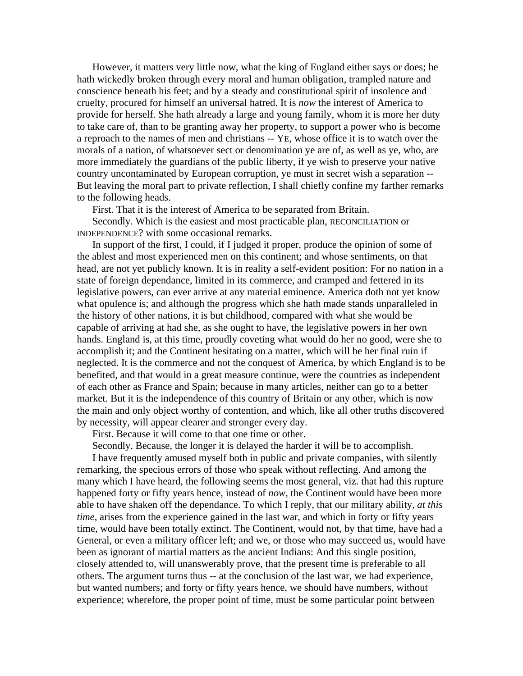However, it matters very little now, what the king of England either says or does; he hath wickedly broken through every moral and human obligation, trampled nature and conscience beneath his feet; and by a steady and constitutional spirit of insolence and cruelty, procured for himself an universal hatred. It is *now* the interest of America to provide for herself. She hath already a large and young family, whom it is more her duty to take care of, than to be granting away her property, to support a power who is become a reproach to the names of men and christians -- YE, whose office it is to watch over the morals of a nation, of whatsoever sect or denomination ye are of, as well as ye, who, are more immediately the guardians of the public liberty, if ye wish to preserve your native country uncontaminated by European corruption, ye must in secret wish a separation -- But leaving the moral part to private reflection, I shall chiefly confine my farther remarks to the following heads.

First. That it is the interest of America to be separated from Britain.

Secondly. Which is the easiest and most practicable plan, RECONCILIATION or INDEPENDENCE? with some occasional remarks.

In support of the first, I could, if I judged it proper, produce the opinion of some of the ablest and most experienced men on this continent; and whose sentiments, on that head, are not yet publicly known. It is in reality a self-evident position: For no nation in a state of foreign dependance, limited in its commerce, and cramped and fettered in its legislative powers, can ever arrive at any material eminence. America doth not yet know what opulence is; and although the progress which she hath made stands unparalleled in the history of other nations, it is but childhood, compared with what she would be capable of arriving at had she, as she ought to have, the legislative powers in her own hands. England is, at this time, proudly coveting what would do her no good, were she to accomplish it; and the Continent hesitating on a matter, which will be her final ruin if neglected. It is the commerce and not the conquest of America, by which England is to be benefited, and that would in a great measure continue, were the countries as independent of each other as France and Spain; because in many articles, neither can go to a better market. But it is the independence of this country of Britain or any other, which is now the main and only object worthy of contention, and which, like all other truths discovered by necessity, will appear clearer and stronger every day.

First. Because it will come to that one time or other.

Secondly. Because, the longer it is delayed the harder it will be to accomplish.

I have frequently amused myself both in public and private companies, with silently remarking, the specious errors of those who speak without reflecting. And among the many which I have heard, the following seems the most general, viz. that had this rupture happened forty or fifty years hence, instead of *now*, the Continent would have been more able to have shaken off the dependance. To which I reply, that our military ability, *at this time*, arises from the experience gained in the last war, and which in forty or fifty years time, would have been totally extinct. The Continent, would not, by that time, have had a General, or even a military officer left; and we, or those who may succeed us, would have been as ignorant of martial matters as the ancient Indians: And this single position, closely attended to, will unanswerably prove, that the present time is preferable to all others. The argument turns thus -- at the conclusion of the last war, we had experience, but wanted numbers; and forty or fifty years hence, we should have numbers, without experience; wherefore, the proper point of time, must be some particular point between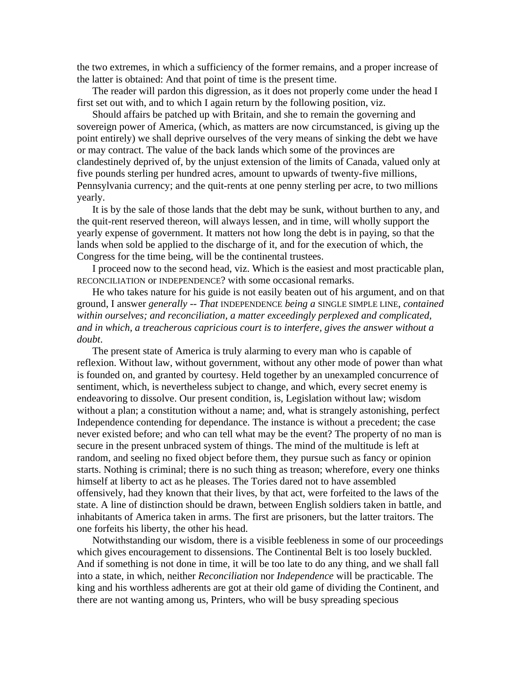the two extremes, in which a sufficiency of the former remains, and a proper increase of the latter is obtained: And that point of time is the present time.

The reader will pardon this digression, as it does not properly come under the head I first set out with, and to which I again return by the following position, viz.

Should affairs be patched up with Britain, and she to remain the governing and sovereign power of America, (which, as matters are now circumstanced, is giving up the point entirely) we shall deprive ourselves of the very means of sinking the debt we have or may contract. The value of the back lands which some of the provinces are clandestinely deprived of, by the unjust extension of the limits of Canada, valued only at five pounds sterling per hundred acres, amount to upwards of twenty-five millions, Pennsylvania currency; and the quit-rents at one penny sterling per acre, to two millions yearly.

It is by the sale of those lands that the debt may be sunk, without burthen to any, and the quit-rent reserved thereon, will always lessen, and in time, will wholly support the yearly expense of government. It matters not how long the debt is in paying, so that the lands when sold be applied to the discharge of it, and for the execution of which, the Congress for the time being, will be the continental trustees.

I proceed now to the second head, viz. Which is the easiest and most practicable plan, RECONCILIATION or INDEPENDENCE? with some occasional remarks.

He who takes nature for his guide is not easily beaten out of his argument, and on that ground, I answer *generally -- That* INDEPENDENCE *being a* SINGLE SIMPLE LINE, *contained within ourselves; and reconciliation, a matter exceedingly perplexed and complicated, and in which, a treacherous capricious court is to interfere, gives the answer without a doubt*.

The present state of America is truly alarming to every man who is capable of reflexion. Without law, without government, without any other mode of power than what is founded on, and granted by courtesy. Held together by an unexampled concurrence of sentiment, which, is nevertheless subject to change, and which, every secret enemy is endeavoring to dissolve. Our present condition, is, Legislation without law; wisdom without a plan; a constitution without a name; and, what is strangely astonishing, perfect Independence contending for dependance. The instance is without a precedent; the case never existed before; and who can tell what may be the event? The property of no man is secure in the present unbraced system of things. The mind of the multitude is left at random, and seeling no fixed object before them, they pursue such as fancy or opinion starts. Nothing is criminal; there is no such thing as treason; wherefore, every one thinks himself at liberty to act as he pleases. The Tories dared not to have assembled offensively, had they known that their lives, by that act, were forfeited to the laws of the state. A line of distinction should be drawn, between English soldiers taken in battle, and inhabitants of America taken in arms. The first are prisoners, but the latter traitors. The one forfeits his liberty, the other his head.

Notwithstanding our wisdom, there is a visible feebleness in some of our proceedings which gives encouragement to dissensions. The Continental Belt is too losely buckled. And if something is not done in time, it will be too late to do any thing, and we shall fall into a state, in which, neither *Reconciliation* nor *Independence* will be practicable. The king and his worthless adherents are got at their old game of dividing the Continent, and there are not wanting among us, Printers, who will be busy spreading specious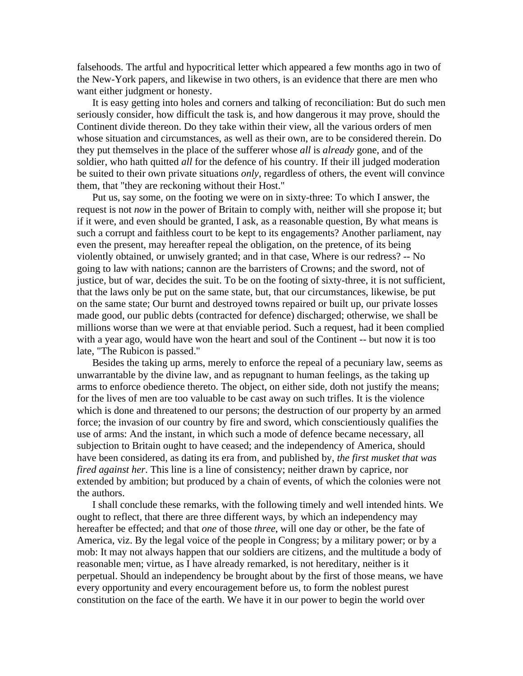falsehoods. The artful and hypocritical letter which appeared a few months ago in two of the New-York papers, and likewise in two others, is an evidence that there are men who want either judgment or honesty.

It is easy getting into holes and corners and talking of reconciliation: But do such men seriously consider, how difficult the task is, and how dangerous it may prove, should the Continent divide thereon. Do they take within their view, all the various orders of men whose situation and circumstances, as well as their own, are to be considered therein. Do they put themselves in the place of the sufferer whose *all* is *already* gone, and of the soldier, who hath quitted *all* for the defence of his country. If their ill judged moderation be suited to their own private situations *only*, regardless of others, the event will convince them, that "they are reckoning without their Host."

Put us, say some, on the footing we were on in sixty-three: To which I answer, the request is not *now* in the power of Britain to comply with, neither will she propose it; but if it were, and even should be granted, I ask, as a reasonable question, By what means is such a corrupt and faithless court to be kept to its engagements? Another parliament, nay even the present, may hereafter repeal the obligation, on the pretence, of its being violently obtained, or unwisely granted; and in that case, Where is our redress? -- No going to law with nations; cannon are the barristers of Crowns; and the sword, not of justice, but of war, decides the suit. To be on the footing of sixty-three, it is not sufficient, that the laws only be put on the same state, but, that our circumstances, likewise, be put on the same state; Our burnt and destroyed towns repaired or built up, our private losses made good, our public debts (contracted for defence) discharged; otherwise, we shall be millions worse than we were at that enviable period. Such a request, had it been complied with a year ago, would have won the heart and soul of the Continent -- but now it is too late, "The Rubicon is passed."

Besides the taking up arms, merely to enforce the repeal of a pecuniary law, seems as unwarrantable by the divine law, and as repugnant to human feelings, as the taking up arms to enforce obedience thereto. The object, on either side, doth not justify the means; for the lives of men are too valuable to be cast away on such trifles. It is the violence which is done and threatened to our persons; the destruction of our property by an armed force; the invasion of our country by fire and sword, which conscientiously qualifies the use of arms: And the instant, in which such a mode of defence became necessary, all subjection to Britain ought to have ceased; and the independency of America, should have been considered, as dating its era from, and published by, *the first musket that was fired against her*. This line is a line of consistency; neither drawn by caprice, nor extended by ambition; but produced by a chain of events, of which the colonies were not the authors.

I shall conclude these remarks, with the following timely and well intended hints. We ought to reflect, that there are three different ways, by which an independency may hereafter be effected; and that *one* of those *three*, will one day or other, be the fate of America, viz. By the legal voice of the people in Congress; by a military power; or by a mob: It may not always happen that our soldiers are citizens, and the multitude a body of reasonable men; virtue, as I have already remarked, is not hereditary, neither is it perpetual. Should an independency be brought about by the first of those means, we have every opportunity and every encouragement before us, to form the noblest purest constitution on the face of the earth. We have it in our power to begin the world over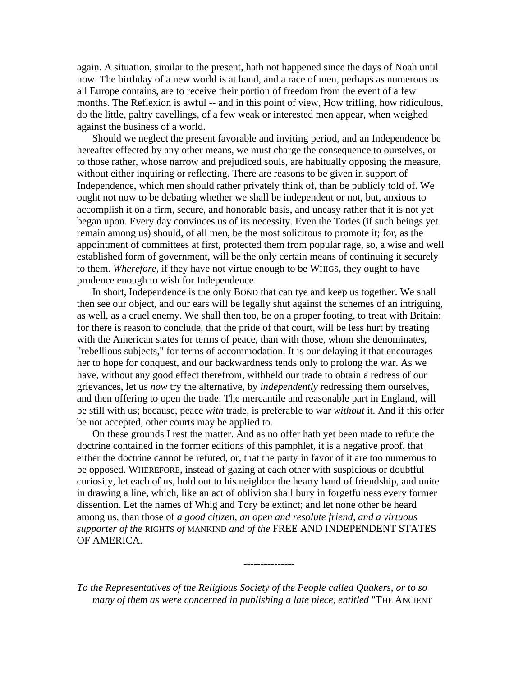again. A situation, similar to the present, hath not happened since the days of Noah until now. The birthday of a new world is at hand, and a race of men, perhaps as numerous as all Europe contains, are to receive their portion of freedom from the event of a few months. The Reflexion is awful -- and in this point of view, How trifling, how ridiculous, do the little, paltry cavellings, of a few weak or interested men appear, when weighed against the business of a world.

Should we neglect the present favorable and inviting period, and an Independence be hereafter effected by any other means, we must charge the consequence to ourselves, or to those rather, whose narrow and prejudiced souls, are habitually opposing the measure, without either inquiring or reflecting. There are reasons to be given in support of Independence, which men should rather privately think of, than be publicly told of. We ought not now to be debating whether we shall be independent or not, but, anxious to accomplish it on a firm, secure, and honorable basis, and uneasy rather that it is not yet began upon. Every day convinces us of its necessity. Even the Tories (if such beings yet remain among us) should, of all men, be the most solicitous to promote it; for, as the appointment of committees at first, protected them from popular rage, so, a wise and well established form of government, will be the only certain means of continuing it securely to them. *Wherefore*, if they have not virtue enough to be WHIGS, they ought to have prudence enough to wish for Independence.

In short, Independence is the only BOND that can tye and keep us together. We shall then see our object, and our ears will be legally shut against the schemes of an intriguing, as well, as a cruel enemy. We shall then too, be on a proper footing, to treat with Britain; for there is reason to conclude, that the pride of that court, will be less hurt by treating with the American states for terms of peace, than with those, whom she denominates, "rebellious subjects," for terms of accommodation. It is our delaying it that encourages her to hope for conquest, and our backwardness tends only to prolong the war. As we have, without any good effect therefrom, withheld our trade to obtain a redress of our grievances, let us *now* try the alternative, by *independently* redressing them ourselves, and then offering to open the trade. The mercantile and reasonable part in England, will be still with us; because, peace *with* trade, is preferable to war *without* it. And if this offer be not accepted, other courts may be applied to.

On these grounds I rest the matter. And as no offer hath yet been made to refute the doctrine contained in the former editions of this pamphlet, it is a negative proof, that either the doctrine cannot be refuted, or, that the party in favor of it are too numerous to be opposed. WHEREFORE, instead of gazing at each other with suspicious or doubtful curiosity, let each of us, hold out to his neighbor the hearty hand of friendship, and unite in drawing a line, which, like an act of oblivion shall bury in forgetfulness every former dissention. Let the names of Whig and Tory be extinct; and let none other be heard among us, than those of *a good citizen, an open and resolute friend, and a virtuous supporter of the* RIGHTS *of* MANKIND *and of the* FREE AND INDEPENDENT STATES OF AMERICA.

*To the Representatives of the Religious Society of the People called Quakers, or to so many of them as were concerned in publishing a late piece, entitled* "THE ANCIENT

---------------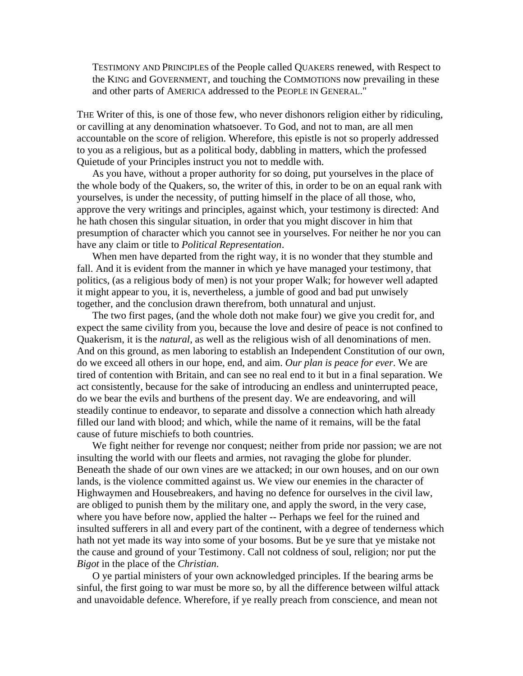TESTIMONY AND PRINCIPLES of the People called QUAKERS renewed, with Respect to the KING and GOVERNMENT, and touching the COMMOTIONS now prevailing in these and other parts of AMERICA addressed to the PEOPLE IN GENERAL."

THE Writer of this, is one of those few, who never dishonors religion either by ridiculing, or cavilling at any denomination whatsoever. To God, and not to man, are all men accountable on the score of religion. Wherefore, this epistle is not so properly addressed to you as a religious, but as a political body, dabbling in matters, which the professed Quietude of your Principles instruct you not to meddle with.

As you have, without a proper authority for so doing, put yourselves in the place of the whole body of the Quakers, so, the writer of this, in order to be on an equal rank with yourselves, is under the necessity, of putting himself in the place of all those, who, approve the very writings and principles, against which, your testimony is directed: And he hath chosen this singular situation, in order that you might discover in him that presumption of character which you cannot see in yourselves. For neither he nor you can have any claim or title to *Political Representation*.

When men have departed from the right way, it is no wonder that they stumble and fall. And it is evident from the manner in which ye have managed your testimony, that politics, (as a religious body of men) is not your proper Walk; for however well adapted it might appear to you, it is, nevertheless, a jumble of good and bad put unwisely together, and the conclusion drawn therefrom, both unnatural and unjust.

The two first pages, (and the whole doth not make four) we give you credit for, and expect the same civility from you, because the love and desire of peace is not confined to Quakerism, it is the *natural*, as well as the religious wish of all denominations of men. And on this ground, as men laboring to establish an Independent Constitution of our own, do we exceed all others in our hope, end, and aim. *Our plan is peace for ever*. We are tired of contention with Britain, and can see no real end to it but in a final separation. We act consistently, because for the sake of introducing an endless and uninterrupted peace, do we bear the evils and burthens of the present day. We are endeavoring, and will steadily continue to endeavor, to separate and dissolve a connection which hath already filled our land with blood; and which, while the name of it remains, will be the fatal cause of future mischiefs to both countries.

We fight neither for revenge nor conquest; neither from pride nor passion; we are not insulting the world with our fleets and armies, not ravaging the globe for plunder. Beneath the shade of our own vines are we attacked; in our own houses, and on our own lands, is the violence committed against us. We view our enemies in the character of Highwaymen and Housebreakers, and having no defence for ourselves in the civil law, are obliged to punish them by the military one, and apply the sword, in the very case, where you have before now, applied the halter -- Perhaps we feel for the ruined and insulted sufferers in all and every part of the continent, with a degree of tenderness which hath not yet made its way into some of your bosoms. But be ye sure that ye mistake not the cause and ground of your Testimony. Call not coldness of soul, religion; nor put the *Bigot* in the place of the *Christian*.

O ye partial ministers of your own acknowledged principles. If the bearing arms be sinful, the first going to war must be more so, by all the difference between wilful attack and unavoidable defence. Wherefore, if ye really preach from conscience, and mean not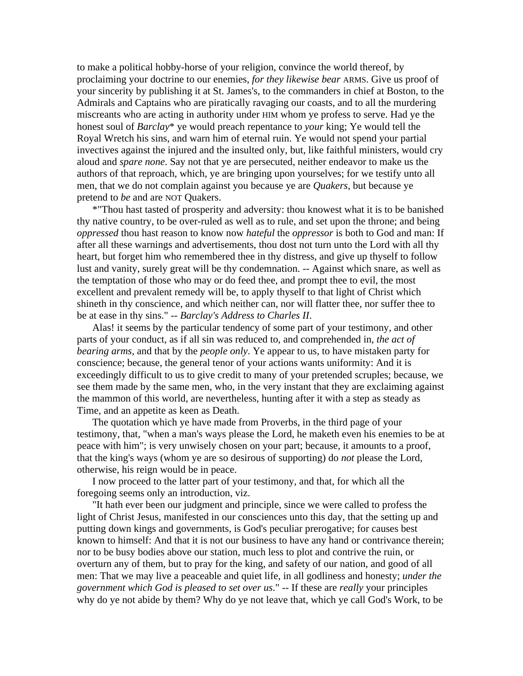to make a political hobby-horse of your religion, convince the world thereof, by proclaiming your doctrine to our enemies, *for they likewise bear* ARMS. Give us proof of your sincerity by publishing it at St. James's, to the commanders in chief at Boston, to the Admirals and Captains who are piratically ravaging our coasts, and to all the murdering miscreants who are acting in authority under HIM whom ye profess to serve. Had ye the honest soul of *Barclay*\* ye would preach repentance to *your* king; Ye would tell the Royal Wretch his sins, and warn him of eternal ruin. Ye would not spend your partial invectives against the injured and the insulted only, but, like faithful ministers, would cry aloud and *spare none*. Say not that ye are persecuted, neither endeavor to make us the authors of that reproach, which, ye are bringing upon yourselves; for we testify unto all men, that we do not complain against you because ye are *Quakers*, but because ye pretend to *be* and are NOT Quakers.

\*"Thou hast tasted of prosperity and adversity: thou knowest what it is to be banished thy native country, to be over-ruled as well as to rule, and set upon the throne; and being *oppressed* thou hast reason to know now *hateful* the *oppressor* is both to God and man: If after all these warnings and advertisements, thou dost not turn unto the Lord with all thy heart, but forget him who remembered thee in thy distress, and give up thyself to follow lust and vanity, surely great will be thy condemnation. -- Against which snare, as well as the temptation of those who may or do feed thee, and prompt thee to evil, the most excellent and prevalent remedy will be, to apply thyself to that light of Christ which shineth in thy conscience, and which neither can, nor will flatter thee, nor suffer thee to be at ease in thy sins." -- *Barclay's Address to Charles II*.

Alas! it seems by the particular tendency of some part of your testimony, and other parts of your conduct, as if all sin was reduced to, and comprehended in, *the act of bearing arms,* and that by the *people only*. Ye appear to us, to have mistaken party for conscience; because, the general tenor of your actions wants uniformity: And it is exceedingly difficult to us to give credit to many of your pretended scruples; because, we see them made by the same men, who, in the very instant that they are exclaiming against the mammon of this world, are nevertheless, hunting after it with a step as steady as Time, and an appetite as keen as Death.

The quotation which ye have made from Proverbs, in the third page of your testimony, that, "when a man's ways please the Lord, he maketh even his enemies to be at peace with him"; is very unwisely chosen on your part; because, it amounts to a proof, that the king's ways (whom ye are so desirous of supporting) do *not* please the Lord, otherwise, his reign would be in peace.

I now proceed to the latter part of your testimony, and that, for which all the foregoing seems only an introduction, viz.

"It hath ever been our judgment and principle, since we were called to profess the light of Christ Jesus, manifested in our consciences unto this day, that the setting up and putting down kings and governments, is God's peculiar prerogative; for causes best known to himself: And that it is not our business to have any hand or contrivance therein; nor to be busy bodies above our station, much less to plot and contrive the ruin, or overturn any of them, but to pray for the king, and safety of our nation, and good of all men: That we may live a peaceable and quiet life, in all godliness and honesty; *under the government which God is pleased to set over us*." -- If these are *really* your principles why do ye not abide by them? Why do ye not leave that, which ye call God's Work, to be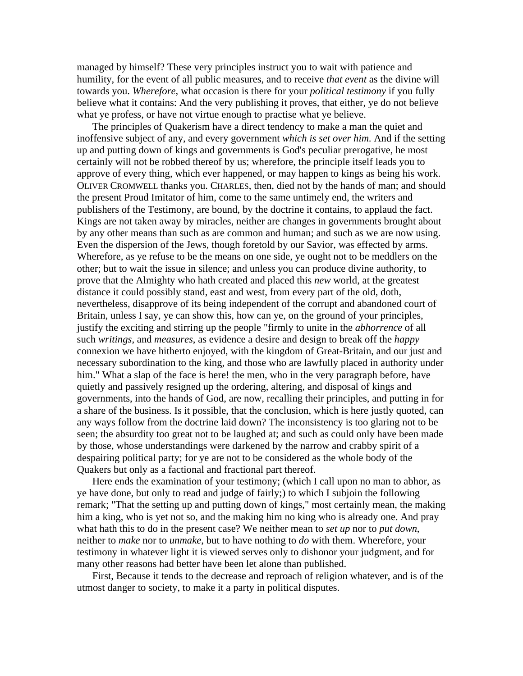managed by himself? These very principles instruct you to wait with patience and humility, for the event of all public measures, and to receive *that event* as the divine will towards you. *Wherefore*, what occasion is there for your *political testimony* if you fully believe what it contains: And the very publishing it proves, that either, ye do not believe what ye profess, or have not virtue enough to practise what ye believe.

The principles of Quakerism have a direct tendency to make a man the quiet and inoffensive subject of any, and every government *which is set over him*. And if the setting up and putting down of kings and governments is God's peculiar prerogative, he most certainly will not be robbed thereof by us; wherefore, the principle itself leads you to approve of every thing, which ever happened, or may happen to kings as being his work. OLIVER CROMWELL thanks you. CHARLES, then, died not by the hands of man; and should the present Proud Imitator of him, come to the same untimely end, the writers and publishers of the Testimony, are bound, by the doctrine it contains, to applaud the fact. Kings are not taken away by miracles, neither are changes in governments brought about by any other means than such as are common and human; and such as we are now using. Even the dispersion of the Jews, though foretold by our Savior, was effected by arms. Wherefore, as ye refuse to be the means on one side, ye ought not to be meddlers on the other; but to wait the issue in silence; and unless you can produce divine authority, to prove that the Almighty who hath created and placed this *new* world, at the greatest distance it could possibly stand, east and west, from every part of the old, doth, nevertheless, disapprove of its being independent of the corrupt and abandoned court of Britain, unless I say, ye can show this, how can ye, on the ground of your principles, justify the exciting and stirring up the people "firmly to unite in the *abhorrence* of all such *writings*, and *measures*, as evidence a desire and design to break off the *happy* connexion we have hitherto enjoyed, with the kingdom of Great-Britain, and our just and necessary subordination to the king, and those who are lawfully placed in authority under him." What a slap of the face is here! the men, who in the very paragraph before, have quietly and passively resigned up the ordering, altering, and disposal of kings and governments, into the hands of God, are now, recalling their principles, and putting in for a share of the business. Is it possible, that the conclusion, which is here justly quoted, can any ways follow from the doctrine laid down? The inconsistency is too glaring not to be seen; the absurdity too great not to be laughed at; and such as could only have been made by those, whose understandings were darkened by the narrow and crabby spirit of a despairing political party; for ye are not to be considered as the whole body of the Quakers but only as a factional and fractional part thereof.

Here ends the examination of your testimony; (which I call upon no man to abhor, as ye have done, but only to read and judge of fairly;) to which I subjoin the following remark; "That the setting up and putting down of kings," most certainly mean, the making him a king, who is yet not so, and the making him no king who is already one. And pray what hath this to do in the present case? We neither mean to *set up* nor to *put down*, neither to *make* nor to *unmake*, but to have nothing to *do* with them. Wherefore, your testimony in whatever light it is viewed serves only to dishonor your judgment, and for many other reasons had better have been let alone than published.

First, Because it tends to the decrease and reproach of religion whatever, and is of the utmost danger to society, to make it a party in political disputes.